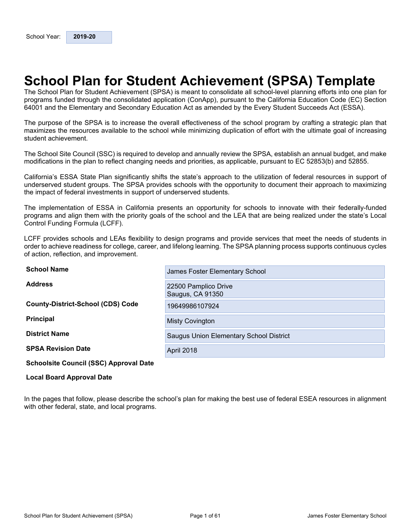## <span id="page-0-0"></span>**School Plan for Student Achievement (SPSA) Template**

The School Plan for Student Achievement (SPSA) is meant to consolidate all school-level planning efforts into one plan for programs funded through the consolidated application (ConApp), pursuant to the California Education Code (EC) Section 64001 and the Elementary and Secondary Education Act as amended by the Every Student Succeeds Act (ESSA).

The purpose of the SPSA is to increase the overall effectiveness of the school program by crafting a strategic plan that maximizes the resources available to the school while minimizing duplication of effort with the ultimate goal of increasing student achievement.

The School Site Council (SSC) is required to develop and annually review the SPSA, establish an annual budget, and make modifications in the plan to reflect changing needs and priorities, as applicable, pursuant to EC 52853(b) and 52855.

California's ESSA State Plan significantly shifts the state's approach to the utilization of federal resources in support of underserved student groups. The SPSA provides schools with the opportunity to document their approach to maximizing the impact of federal investments in support of underserved students.

The implementation of ESSA in California presents an opportunity for schools to innovate with their federally-funded programs and align them with the priority goals of the school and the LEA that are being realized under the state's Local Control Funding Formula (LCFF).

LCFF provides schools and LEAs flexibility to design programs and provide services that meet the needs of students in order to achieve readiness for college, career, and lifelong learning. The SPSA planning process supports continuous cycles of action, reflection, and improvement.

| <b>School Name</b>                            | James Foster Elementary School           |
|-----------------------------------------------|------------------------------------------|
| <b>Address</b>                                | 22500 Pamplico Drive<br>Saugus, CA 91350 |
| <b>County-District-School (CDS) Code</b>      | 19649986107924                           |
| <b>Principal</b>                              | <b>Misty Covington</b>                   |
| <b>District Name</b>                          | Saugus Union Elementary School District  |
| <b>SPSA Revision Date</b>                     | <b>April 2018</b>                        |
| <b>Schoolsite Council (SSC) Approval Date</b> |                                          |

#### **Local Board Approval Date**

In the pages that follow, please describe the school's plan for making the best use of federal ESEA resources in alignment with other federal, state, and local programs.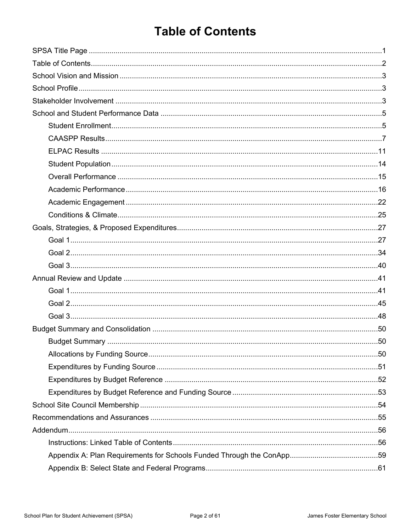## <span id="page-1-0"></span>**Table of Contents**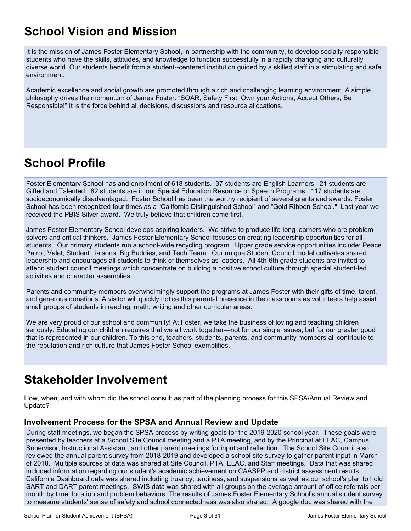## <span id="page-2-0"></span>**School Vision and Mission**

It is the mission of James Foster Elementary School, in partnership with the community, to develop socially responsible students who have the skills, attitudes, and knowledge to function successfully in a rapidly changing and culturally diverse world. Our students benefit from a student--centered institution guided by a skilled staff in a stimulating and safe environment.

Academic excellence and social growth are promoted through a rich and challenging learning environment. A simple philosophy drives the momentum of James Foster: "SOAR, Safety First; Own your Actions, Accept Others; Be Responsible!" It is the force behind all decisions, discussions and resource allocations.

## <span id="page-2-1"></span>**School Profile**

Foster Elementary School has and enrollment of 618 students. 37 students are English Learners. 21 students are Gifted and Talented. 82 students are in our Special Education Resource or Speech Programs. 117 students are socioeconomically disadvantaged. Foster School has been the worthy recipient of several grants and awards. Foster School has been recognized four times as a "California Distinguished School" and "Gold Ribbon School." Last year we received the PBIS Silver award. We truly believe that children come first.

James Foster Elementary School develops aspiring leaders. We strive to produce life-long learners who are problem solvers and critical thinkers. James Foster Elementary School focuses on creating leadership opportunities for all students. Our primary students run a school-wide recycling program. Upper grade service opportunities include: Peace Patrol, Valet, Student Liaisons, Big Buddies, and Tech Team. Our unique Student Council model cultivates shared leadership and encourages all students to think of themselves as leaders. All 4th-6th grade students are invited to attend student council meetings which concentrate on building a positive school culture through special student-led activities and character assemblies.

Parents and community members overwhelmingly support the programs at James Foster with their gifts of time, talent, and generous donations. A visitor will quickly notice this parental presence in the classrooms as volunteers help assist small groups of students in reading, math, writing and other curricular areas.

We are very proud of our school and community! At Foster, we take the business of loving and teaching children seriously. Educating our children requires that we all work together—not for our single issues, but for our greater good that is represented in our children. To this end, teachers, students, parents, and community members all contribute to the reputation and rich culture that James Foster School exemplifies.

## <span id="page-2-2"></span>**Stakeholder Involvement**

How, when, and with whom did the school consult as part of the planning process for this SPSA/Annual Review and Update?

#### **Involvement Process for the SPSA and Annual Review and Update**

During staff meetings, we began the SPSA process by writing goals for the 2019-2020 school year. These goals were presented by teachers at a School Site Council meeting and a PTA meeting, and by the Principal at ELAC, Campus Supervisor, Instructional Assistant, and other parent meetings for input and reflection. The School Site Council also reviewed the annual parent survey from 2018-2019 and developed a school site survey to gather parent input in March of 2018. Multiple sources of data was shared at Site Council, PTA, ELAC, and Staff meetings. Data that was shared included information regarding our student's academic achievement on CAASPP and district assessment results. California Dashboard data was shared including truancy, tardiness, and suspensions as well as our school's plan to hold SART and DART parent meetings. SWIS data was shared with all groups on the average amount of office referrals per month by time, location and problem behaviors. The results of James Foster Elementary School's annual student survey to measure students' sense of safety and school connectedness was also shared. A google doc was shared with the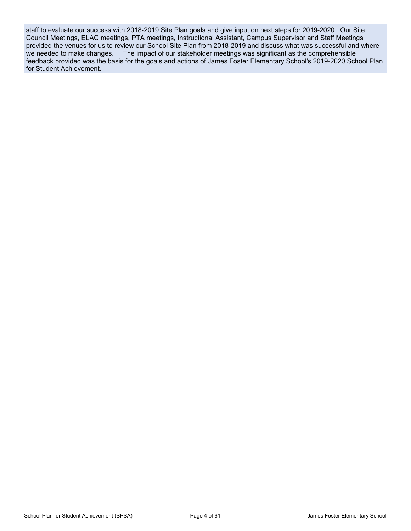staff to evaluate our success with 2018-2019 Site Plan goals and give input on next steps for 2019-2020. Our Site Council Meetings, ELAC meetings, PTA meetings, Instructional Assistant, Campus Supervisor and Staff Meetings provided the venues for us to review our School Site Plan from 2018-2019 and discuss what was successful and where we needed to make changes. The impact of our stakeholder meetings was significant as the comprehensible feedback provided was the basis for the goals and actions of James Foster Elementary School's 2019-2020 School Plan for Student Achievement.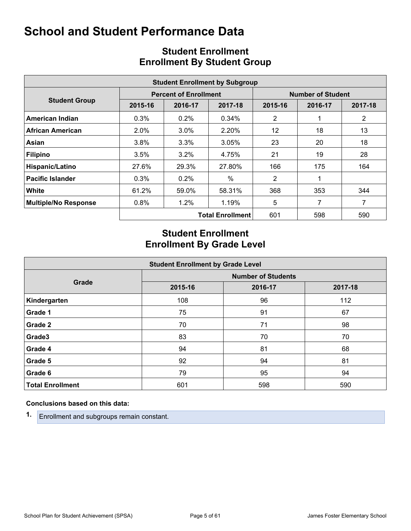<span id="page-4-0"></span>

|                             |         |                              | <b>Student Enrollment by Subgroup</b> |                   |         |                |  |  |
|-----------------------------|---------|------------------------------|---------------------------------------|-------------------|---------|----------------|--|--|
|                             |         | <b>Percent of Enrollment</b> |                                       | Number of Student |         |                |  |  |
| <b>Student Group</b>        | 2015-16 | 2016-17                      | 2017-18                               | 2015-16           | 2016-17 | 2017-18        |  |  |
| American Indian             | 0.3%    | 0.2%                         | 0.34%                                 | 2                 |         | $\overline{2}$ |  |  |
| African American            | 2.0%    | $3.0\%$                      | 2.20%                                 | $12 \overline{ }$ | 18      | 13             |  |  |
| Asian                       | 3.8%    | 3.3%                         | 3.05%                                 | 23                | 20      | 18             |  |  |
| <b>Filipino</b>             | 3.5%    | 3.2%                         | 4.75%                                 | 21                | 19      | 28             |  |  |
| Hispanic/Latino             | 27.6%   | 29.3%                        | 27.80%                                | 166               | 175     | 164            |  |  |
| <b>Pacific Islander</b>     | 0.3%    | 0.2%                         | $\%$                                  | $\overline{2}$    |         |                |  |  |
| <b>White</b>                | 61.2%   | 59.0%                        | 58.31%                                | 368               | 353     | 344            |  |  |
| <b>Multiple/No Response</b> | 0.8%    | 1.2%                         | 1.19%                                 | 5                 |         | 7              |  |  |
|                             |         |                              | <b>Total Enrollment</b>               | 601               | 598     | 590            |  |  |

## <span id="page-4-1"></span>**Student Enrollment Enrollment By Student Group**

## **Student Enrollment Enrollment By Grade Level**

| <b>Student Enrollment by Grade Level</b> |                           |         |         |  |  |  |  |  |  |  |
|------------------------------------------|---------------------------|---------|---------|--|--|--|--|--|--|--|
|                                          | <b>Number of Students</b> |         |         |  |  |  |  |  |  |  |
| Grade                                    | 2015-16                   | 2016-17 | 2017-18 |  |  |  |  |  |  |  |
| Kindergarten                             | 108                       | 96      | 112     |  |  |  |  |  |  |  |
| Grade 1                                  | 75                        | 91      | 67      |  |  |  |  |  |  |  |
| Grade 2                                  | 70                        | 71      | 98      |  |  |  |  |  |  |  |
| Grade3                                   | 83                        | 70      | 70      |  |  |  |  |  |  |  |
| Grade 4                                  | 94                        | 81      | 68      |  |  |  |  |  |  |  |
| Grade 5                                  | 92                        | 94      | 81      |  |  |  |  |  |  |  |
| Grade 6                                  | 79                        | 95      | 94      |  |  |  |  |  |  |  |
| <b>Total Enrollment</b>                  | 601                       | 598     | 590     |  |  |  |  |  |  |  |

#### **Conclusions based on this data:**

**1.** Enrollment and subgroups remain constant.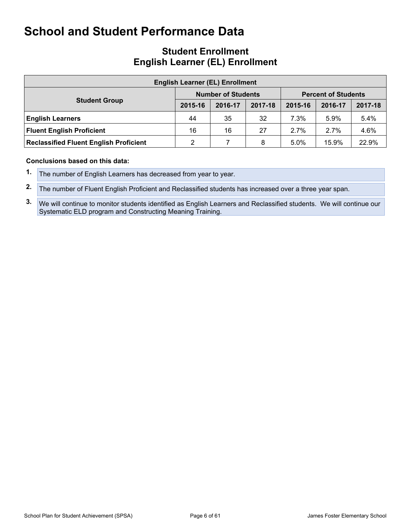### **Student Enrollment English Learner (EL) Enrollment**

| <b>English Learner (EL) Enrollment</b>        |         |                           |         |                            |         |         |  |  |  |  |
|-----------------------------------------------|---------|---------------------------|---------|----------------------------|---------|---------|--|--|--|--|
|                                               |         | <b>Number of Students</b> |         | <b>Percent of Students</b> |         |         |  |  |  |  |
| <b>Student Group</b>                          | 2015-16 | 2016-17                   | 2017-18 | 2015-16                    | 2016-17 | 2017-18 |  |  |  |  |
| <b>English Learners</b>                       | 44      | 35                        | 32      | $7.3\%$                    | 5.9%    | 5.4%    |  |  |  |  |
| <b>Fluent English Proficient</b>              | 16      | 16                        | 27      | 2.7%                       | 2.7%    | 4.6%    |  |  |  |  |
| <b>Reclassified Fluent English Proficient</b> |         | 8                         | 5.0%    | 15.9%                      | 22.9%   |         |  |  |  |  |

#### **Conclusions based on this data:**

**1.** The number of English Learners has decreased from year to year.

**3.** We will continue to monitor students identified as English Learners and Reclassified students. We will continue our Systematic ELD program and Constructing Meaning Training.

**<sup>2.</sup>** The number of Fluent English Proficient and Reclassified students has increased over a three year span.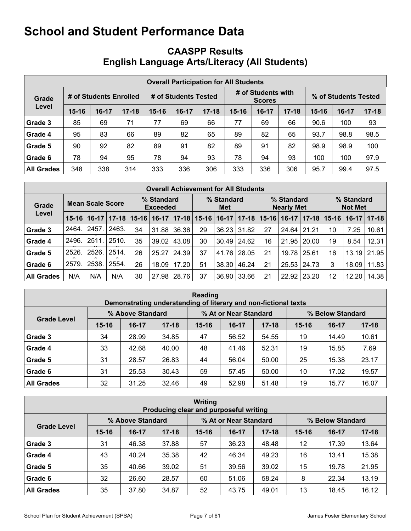## <span id="page-6-0"></span>**CAASPP Results English Language Arts/Literacy (All Students)**

|                   | <b>Overall Participation for All Students</b> |                        |           |                      |         |           |           |                                     |           |                      |         |           |  |
|-------------------|-----------------------------------------------|------------------------|-----------|----------------------|---------|-----------|-----------|-------------------------------------|-----------|----------------------|---------|-----------|--|
| Grade             |                                               | # of Students Enrolled |           | # of Students Tested |         |           |           | # of Students with<br><b>Scores</b> |           | % of Students Tested |         |           |  |
| Level             | $15 - 16$                                     | $16-17$                | $17 - 18$ | $15 - 16$            | $16-17$ | $17 - 18$ | $15 - 16$ | 16-17                               | $17 - 18$ | $15 - 16$            | $16-17$ | $17 - 18$ |  |
| Grade 3           | 85                                            | 69                     | 71        | 77                   | 69      | 66        | 77        | 69                                  | 66        | 90.6                 | 100     | 93        |  |
| Grade 4           | 95                                            | 83                     | 66        | 89                   | 82      | 65        | 89        | 82                                  | 65        | 93.7                 | 98.8    | 98.5      |  |
| Grade 5           | 90                                            | 92                     | 82        | 89                   | 91      | 82        | 89        | 91                                  | 82        | 98.9                 | 98.9    | 100       |  |
| Grade 6           | 78                                            | 94                     | 95        | 78                   | 94      | 93        | 78        | 94                                  | 93        | 100                  | 100     | 97.9      |  |
| <b>All Grades</b> | 348                                           | 338                    | 314       | 333                  | 336     | 306       | 333       | 336                                 | 306       | 95.7                 | 99.4    | 97.5      |  |

|                   | <b>Overall Achievement for All Students</b> |                  |       |                   |                               |           |           |                   |       |           |                                 |           |           |                              |          |  |
|-------------------|---------------------------------------------|------------------|-------|-------------------|-------------------------------|-----------|-----------|-------------------|-------|-----------|---------------------------------|-----------|-----------|------------------------------|----------|--|
| Grade             |                                             | Mean Scale Score |       |                   | % Standard<br><b>Exceeded</b> |           |           | % Standard<br>Met |       |           | % Standard<br><b>Nearly Met</b> |           |           | % Standard<br><b>Not Met</b> |          |  |
| Level             | $15 - 16$                                   | $16-17$          |       | $17 - 18$   15-16 | $16-17$                       | $17 - 18$ | $15 - 16$ | $16-17$           | 17-18 | $15 - 16$ | $16-17$                         | $17 - 18$ | $15 - 16$ | $16-17$                      | $ 17-18$ |  |
| Grade 3           | 2464.                                       | 2457             | 2463. | 34                | 31.88                         | 36.36     | 29        | 36.23             | 31.82 | 27        | 24.64   21.21                   |           | 10        | 7.25                         | 10.61    |  |
| Grade 4           | 2496.                                       | 2511.            | 2510. | 35                | 39.02                         | 43.08     | 30        | 30.49             | 24.62 | 16        | 21.95                           | 20.00     | 19        | 8.54                         | 12.31    |  |
| Grade 5           | 2526.                                       | 2526.            | 2514. | 26                | 25.27                         | 24.39     | 37        | 41.76             | 28.05 | 21        | 19.78   25.61                   |           | 16        | 13.19                        | 21.95    |  |
| Grade 6           | 2579.                                       | 2538.            | 2554. | 26                | 18.09                         | 17.20     | 51        | 38.30             | 46.24 | 21        | 25.53                           | 24.73     | 3         | 18.09                        | 11.83    |  |
| <b>All Grades</b> | N/A                                         | N/A              | N/A   | 30                | 27.98                         | 28.76     | 37        | 36.90             | 33.66 | 21        | 22.92                           | 23.20     | 12        | 12.20                        | 14.38    |  |

| Reading<br>Demonstrating understanding of literary and non-fictional texts |           |                  |           |           |                       |           |                  |         |           |  |  |  |
|----------------------------------------------------------------------------|-----------|------------------|-----------|-----------|-----------------------|-----------|------------------|---------|-----------|--|--|--|
|                                                                            |           | % Above Standard |           |           | % At or Near Standard |           | % Below Standard |         |           |  |  |  |
| <b>Grade Level</b>                                                         | $15 - 16$ | $16-17$          | $17 - 18$ | $15 - 16$ | $16-17$               | $17 - 18$ | $15 - 16$        | $16-17$ | $17 - 18$ |  |  |  |
| Grade 3                                                                    | 34        | 28.99            | 34.85     | 47        | 56.52                 | 54.55     | 19               | 14.49   | 10.61     |  |  |  |
| Grade 4                                                                    | 33        | 42.68            | 40.00     | 48        | 41.46                 | 52.31     | 19               | 15.85   | 7.69      |  |  |  |
| Grade 5                                                                    | 31        | 28.57            | 26.83     | 44        | 56.04                 | 50.00     | 25               | 15.38   | 23.17     |  |  |  |
| Grade 6                                                                    | 31        | 25.53            | 30.43     | 59        | 57.45                 | 50.00     | 10               | 17.02   | 19.57     |  |  |  |
| <b>All Grades</b>                                                          | 32        | 31.25            | 32.46     | 49        | 52.98                 | 51.48     | 19               | 15.77   | 16.07     |  |  |  |

| Writing<br>Producing clear and purposeful writing |           |                  |           |           |                       |           |                  |           |           |  |  |  |
|---------------------------------------------------|-----------|------------------|-----------|-----------|-----------------------|-----------|------------------|-----------|-----------|--|--|--|
|                                                   |           | % Above Standard |           |           | % At or Near Standard |           | % Below Standard |           |           |  |  |  |
| <b>Grade Level</b>                                | $15 - 16$ | $16-17$          | $17 - 18$ | $15 - 16$ | $16-17$               | $17 - 18$ | $15 - 16$        | $16 - 17$ | $17 - 18$ |  |  |  |
| Grade 3                                           | 31        | 46.38            | 37.88     | 57        | 36.23                 | 48.48     | 12               | 17.39     | 13.64     |  |  |  |
| Grade 4                                           | 43        | 40.24            | 35.38     | 42        | 46.34                 | 49.23     | 16               | 13.41     | 15.38     |  |  |  |
| Grade 5                                           | 35        | 40.66            | 39.02     | 51        | 39.56                 | 39.02     | 15               | 19.78     | 21.95     |  |  |  |
| Grade 6                                           | 32        | 26.60            | 28.57     | 60        | 51.06                 | 58.24     | 8                | 22.34     | 13.19     |  |  |  |
| <b>All Grades</b>                                 | 35        | 37.80            | 34.87     | 52        | 43.75                 | 49.01     | 13               | 18.45     | 16.12     |  |  |  |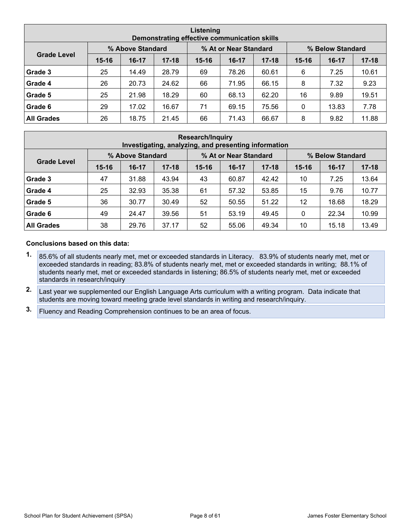|                    | Listening<br>Demonstrating effective communication skills |                  |           |           |                                           |           |           |         |           |  |  |  |  |
|--------------------|-----------------------------------------------------------|------------------|-----------|-----------|-------------------------------------------|-----------|-----------|---------|-----------|--|--|--|--|
|                    |                                                           | % Above Standard |           |           | % At or Near Standard<br>% Below Standard |           |           |         |           |  |  |  |  |
| <b>Grade Level</b> | $15 - 16$                                                 | $16-17$          | $17 - 18$ | $15 - 16$ | $16-17$                                   | $17 - 18$ | $15 - 16$ | $16-17$ | $17 - 18$ |  |  |  |  |
| Grade 3            | 25                                                        | 14.49            | 28.79     | 69        | 78.26                                     | 60.61     | 6         | 7.25    | 10.61     |  |  |  |  |
| Grade 4            | 26                                                        | 20.73            | 24.62     | 66        | 71.95                                     | 66.15     | 8         | 7.32    | 9.23      |  |  |  |  |
| Grade 5            | 25                                                        | 21.98            | 18.29     | 60        | 68.13                                     | 62.20     | 16        | 9.89    | 19.51     |  |  |  |  |
| Grade 6            | 29                                                        | 17.02            | 16.67     | 71        | 69.15                                     | 75.56     | 0         | 13.83   | 7.78      |  |  |  |  |
| <b>All Grades</b>  | 26                                                        | 18.75            | 21.45     | 66        | 71.43                                     | 66.67     | 8         | 9.82    | 11.88     |  |  |  |  |

| <b>Research/Inquiry</b><br>Investigating, analyzing, and presenting information |           |                  |           |           |                       |           |                  |           |           |  |  |  |
|---------------------------------------------------------------------------------|-----------|------------------|-----------|-----------|-----------------------|-----------|------------------|-----------|-----------|--|--|--|
|                                                                                 |           | % Above Standard |           |           | % At or Near Standard |           | % Below Standard |           |           |  |  |  |
| <b>Grade Level</b>                                                              | $15 - 16$ | $16-17$          | $17 - 18$ | $15 - 16$ | $16-17$               | $17 - 18$ | $15 - 16$        | $16 - 17$ | $17 - 18$ |  |  |  |
| Grade 3                                                                         | 47        | 31.88            | 43.94     | 43        | 60.87                 | 42.42     | 10               | 7.25      | 13.64     |  |  |  |
| Grade 4                                                                         | 25        | 32.93            | 35.38     | 61        | 57.32                 | 53.85     | 15               | 9.76      | 10.77     |  |  |  |
| Grade 5                                                                         | 36        | 30.77            | 30.49     | 52        | 50.55                 | 51.22     | 12               | 18.68     | 18.29     |  |  |  |
| Grade 6                                                                         | 49        | 24.47            | 39.56     | 51        | 53.19                 | 49.45     | 0                | 22.34     | 10.99     |  |  |  |
| <b>All Grades</b>                                                               | 38        | 29.76            | 37.17     | 52        | 55.06                 | 49.34     | 10               | 15.18     | 13.49     |  |  |  |

#### **Conclusions based on this data:**

- **1.** 85.6% of all students nearly met, met or exceeded standards in Literacy. 83.9% of students nearly met, met or exceeded standards in reading; 83.8% of students nearly met, met or exceeded standards in writing; 88.1% of students nearly met, met or exceeded standards in listening; 86.5% of students nearly met, met or exceeded standards in research/inquiry
- **2.** Last year we supplemented our English Language Arts curriculum with a writing program. Data indicate that students are moving toward meeting grade level standards in writing and research/inquiry.
- **3.** Fluency and Reading Comprehension continues to be an area of focus.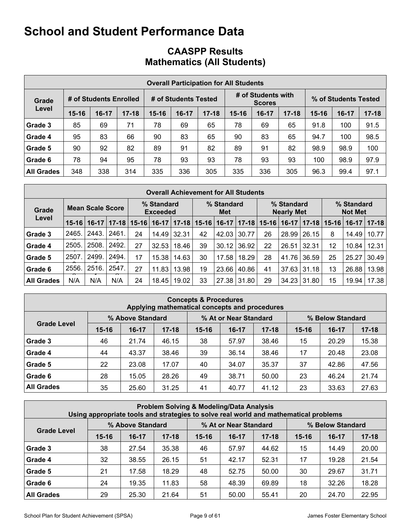## **CAASPP Results Mathematics (All Students)**

|                   | <b>Overall Participation for All Students</b> |                        |           |           |                      |           |           |                                     |           |                      |       |           |  |
|-------------------|-----------------------------------------------|------------------------|-----------|-----------|----------------------|-----------|-----------|-------------------------------------|-----------|----------------------|-------|-----------|--|
| Grade             |                                               | # of Students Enrolled |           |           | # of Students Tested |           |           | # of Students with<br><b>Scores</b> |           | % of Students Tested |       |           |  |
| Level             | $15 - 16$                                     | $16 - 17$              | $17 - 18$ | $15 - 16$ | $16-17$              | $17 - 18$ | $15 - 16$ | $16-17$                             | $17 - 18$ | $15 - 16$            | 16-17 | $17 - 18$ |  |
| Grade 3           | 85                                            | 69                     | 71        | 78        | 69                   | 65        | 78        | 69                                  | 65        | 91.8                 | 100   | 91.5      |  |
| Grade 4           | 95                                            | 83                     | 66        | 90        | 83                   | 65        | 90        | 83                                  | 65        | 94.7                 | 100   | 98.5      |  |
| Grade 5           | 90                                            | 92                     | 82        | 89        | 91                   | 82        | 89        | 91                                  | 82        | 98.9                 | 98.9  | 100       |  |
| Grade 6           | 78                                            | 94                     | 95        | 78        | 93                   | 93        | 78        | 93                                  | 93        | 100                  | 98.9  | 97.9      |  |
| <b>All Grades</b> | 348                                           | 338                    | 314       | 335       | 336                  | 305       | 335       | 336                                 | 305       | 96.3                 | 99.4  | 97.1      |  |

| <b>Overall Achievement for All Students</b> |           |                         |           |           |                               |           |           |                   |         |           |                                 |                    |                              |         |          |
|---------------------------------------------|-----------|-------------------------|-----------|-----------|-------------------------------|-----------|-----------|-------------------|---------|-----------|---------------------------------|--------------------|------------------------------|---------|----------|
| Grade                                       |           | <b>Mean Scale Score</b> |           |           | % Standard<br><b>Exceeded</b> |           |           | % Standard<br>Met |         |           | % Standard<br><b>Nearly Met</b> |                    | % Standard<br><b>Not Met</b> |         |          |
| Level                                       | $15 - 16$ | $16-17$                 | $17 - 18$ | $15 - 16$ | $16-17$                       | $17 - 18$ | $15 - 16$ | $16-17$           | $17-18$ | $15 - 16$ | $16-17$                         | $17 - 18$          | $15 - 16$                    | $16-17$ | $ 17-18$ |
| Grade 3                                     | 2465.     | 2443.                   | 2461      | 24        | 14.49                         | 32.31     | 42        | 42.03             | 30.77   | 26        | 28.99                           | 26.15              | 8                            | 14.49   | 10.77    |
| Grade 4                                     | 2505.     | 2508.                   | 2492.     | 27        | 32.53                         | 18.46     | 39        | 30.12             | 36.92   | 22        | 26.51                           | 32.31              | 12                           | 10.84   | 12.31    |
| Grade 5                                     | 2507      | 2499.                   | 2494.     | 17        | 15.38                         | 14.63     | 30        | 17.58             | 18.29   | 28        | 41.76                           | 36.59              | 25                           | 25.27   | 30.49    |
| Grade 6                                     | 2556.     | 2516.                   | 2547      | 27        | 11.83                         | 13.98     | 19        | 23.66             | 40.86   | 41        | 37.63                           | 31.18              | 13                           | 26.88   | 13.98    |
| <b>All Grades</b>                           | N/A       | N/A                     | N/A       | 24        | 18.45                         | 19.02     | 33        | 27.38             | 31.80   | 29        |                                 | $34.23 \mid 31.80$ | 15                           | 19.94   | 17.38    |

| <b>Concepts &amp; Procedures</b><br>Applying mathematical concepts and procedures |           |                  |           |           |                       |           |           |                  |           |  |  |  |
|-----------------------------------------------------------------------------------|-----------|------------------|-----------|-----------|-----------------------|-----------|-----------|------------------|-----------|--|--|--|
|                                                                                   |           | % Above Standard |           |           | % At or Near Standard |           |           | % Below Standard |           |  |  |  |
| <b>Grade Level</b>                                                                | $15 - 16$ | $16-17$          | $17 - 18$ | $15 - 16$ | $16-17$               | $17 - 18$ | $15 - 16$ | $16-17$          | $17 - 18$ |  |  |  |
| Grade 3                                                                           | 46        | 21.74            | 46.15     | 38        | 57.97                 | 38.46     | 15        | 20.29            | 15.38     |  |  |  |
| Grade 4                                                                           | 44        | 43.37            | 38.46     | 39        | 36.14                 | 38.46     | 17        | 20.48            | 23.08     |  |  |  |
| Grade 5                                                                           | 22        | 23.08            | 17.07     | 40        | 34.07                 | 35.37     | 37        | 42.86            | 47.56     |  |  |  |
| Grade 6                                                                           | 28        | 15.05            | 28.26     | 49        | 38.71                 | 50.00     | 23        | 46.24            | 21.74     |  |  |  |
| <b>All Grades</b>                                                                 | 35        | 25.60            | 31.25     | 41        | 40.77                 | 41.12     | 23        | 33.63            | 27.63     |  |  |  |

| <b>Problem Solving &amp; Modeling/Data Analysis</b><br>Using appropriate tools and strategies to solve real world and mathematical problems |           |                  |           |           |                                           |           |           |         |           |  |  |  |
|---------------------------------------------------------------------------------------------------------------------------------------------|-----------|------------------|-----------|-----------|-------------------------------------------|-----------|-----------|---------|-----------|--|--|--|
|                                                                                                                                             |           | % Above Standard |           |           | % At or Near Standard<br>% Below Standard |           |           |         |           |  |  |  |
| <b>Grade Level</b>                                                                                                                          | $15 - 16$ | $16-17$          | $17 - 18$ | $15 - 16$ | $16-17$                                   | $17 - 18$ | $15 - 16$ | $16-17$ | $17 - 18$ |  |  |  |
| Grade 3                                                                                                                                     | 38        | 27.54            | 35.38     | 46        | 57.97                                     | 44.62     | 15        | 14.49   | 20.00     |  |  |  |
| Grade 4                                                                                                                                     | 32        | 38.55            | 26.15     | 51        | 42.17                                     | 52.31     | 17        | 19.28   | 21.54     |  |  |  |
| Grade 5                                                                                                                                     | 21        | 17.58            | 18.29     | 48        | 52.75                                     | 50.00     | 30        | 29.67   | 31.71     |  |  |  |
| Grade 6                                                                                                                                     | 24        | 19.35            | 11.83     | 58        | 48.39                                     | 69.89     | 18        | 32.26   | 18.28     |  |  |  |
| <b>All Grades</b>                                                                                                                           | 29        | 25.30            | 21.64     | 51        | 50.00                                     | 55.41     | 20        | 24.70   | 22.95     |  |  |  |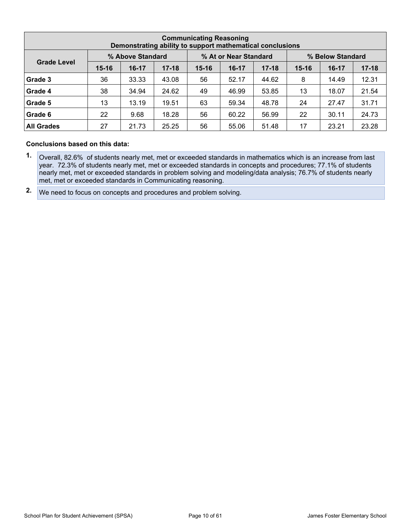| <b>Communicating Reasoning</b><br>Demonstrating ability to support mathematical conclusions |           |                  |           |           |                       |           |                  |         |           |  |  |  |
|---------------------------------------------------------------------------------------------|-----------|------------------|-----------|-----------|-----------------------|-----------|------------------|---------|-----------|--|--|--|
|                                                                                             |           | % Above Standard |           |           | % At or Near Standard |           | % Below Standard |         |           |  |  |  |
| <b>Grade Level</b>                                                                          | $15 - 16$ | $16-17$          | $17 - 18$ | $15 - 16$ | $16-17$               | $17 - 18$ | $15 - 16$        | $16-17$ | $17 - 18$ |  |  |  |
| Grade 3                                                                                     | 36        | 33.33            | 43.08     | 56        | 52.17                 | 44.62     | 8                | 14.49   | 12.31     |  |  |  |
| Grade 4                                                                                     | 38        | 34.94            | 24.62     | 49        | 46.99                 | 53.85     | 13               | 18.07   | 21.54     |  |  |  |
| Grade 5                                                                                     | 13        | 13.19            | 19.51     | 63        | 59.34                 | 48.78     | 24               | 27.47   | 31.71     |  |  |  |
| Grade 6                                                                                     | 22        | 9.68             | 18.28     | 56        | 60.22                 | 56.99     | 22               | 30.11   | 24.73     |  |  |  |
| <b>All Grades</b>                                                                           | 27        | 21.73            | 25.25     | 56        | 55.06                 | 51.48     | 17               | 23.21   | 23.28     |  |  |  |

#### **Conclusions based on this data:**

- **1.** Overall, 82.6% of students nearly met, met or exceeded standards in mathematics which is an increase from last year. 72.3% of students nearly met, met or exceeded standards in concepts and procedures; 77.1% of students nearly met, met or exceeded standards in problem solving and modeling/data analysis; 76.7% of students nearly met, met or exceeded standards in Communicating reasoning.
- **2.** We need to focus on concepts and procedures and problem solving.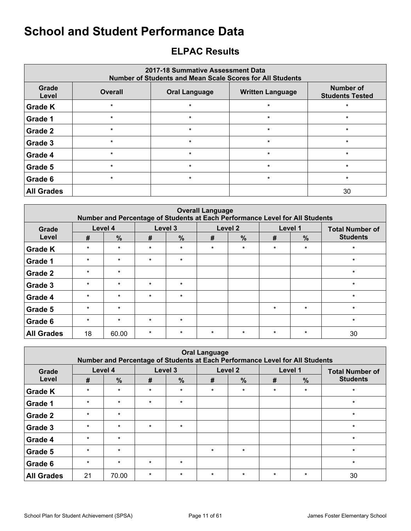## <span id="page-10-0"></span>**ELPAC Results**

| 2017-18 Summative Assessment Data<br><b>Number of Students and Mean Scale Scores for All Students</b> |                |                         |                                     |         |  |  |  |  |  |  |  |
|-------------------------------------------------------------------------------------------------------|----------------|-------------------------|-------------------------------------|---------|--|--|--|--|--|--|--|
| Grade<br>Level                                                                                        | <b>Overall</b> | <b>Written Language</b> | Number of<br><b>Students Tested</b> |         |  |  |  |  |  |  |  |
| <b>Grade K</b>                                                                                        | $\star$        | $\star$                 | $\star$                             | $\star$ |  |  |  |  |  |  |  |
| Grade 1                                                                                               | $\star$        | $\star$                 | $\star$                             | $\star$ |  |  |  |  |  |  |  |
| Grade 2                                                                                               | $\star$        | $\star$                 | $\ast$                              | $\star$ |  |  |  |  |  |  |  |
| Grade 3                                                                                               | $\star$        | $\star$                 | $\star$                             | $\star$ |  |  |  |  |  |  |  |
| Grade 4                                                                                               | $\star$        | $\star$                 | $\star$                             | $\star$ |  |  |  |  |  |  |  |
| Grade 5                                                                                               | $\star$        | $\star$                 | $\star$                             | $\star$ |  |  |  |  |  |  |  |
| Grade 6                                                                                               | $\star$        | $\star$                 | $\star$                             | $\star$ |  |  |  |  |  |  |  |
| <b>All Grades</b>                                                                                     |                |                         |                                     | 30      |  |  |  |  |  |  |  |

| <b>Overall Language</b><br>Number and Percentage of Students at Each Performance Level for All Students |         |               |         |               |         |               |         |         |                        |  |  |  |
|---------------------------------------------------------------------------------------------------------|---------|---------------|---------|---------------|---------|---------------|---------|---------|------------------------|--|--|--|
| Grade                                                                                                   |         | Level 4       |         | Level 3       |         | Level 2       | Level 1 |         | <b>Total Number of</b> |  |  |  |
| Level                                                                                                   | #       | $\frac{9}{6}$ | #       | $\frac{9}{6}$ | #       | $\frac{0}{0}$ | #       | $\%$    | <b>Students</b>        |  |  |  |
| <b>Grade K</b>                                                                                          | $\star$ | $\star$       | $\star$ | $\star$       | $\star$ | $\star$       | $\star$ | $\star$ | $\star$                |  |  |  |
| <b>Grade 1</b>                                                                                          | $\star$ | $\star$       | $\star$ | $\star$       |         |               |         |         | $\star$                |  |  |  |
| <b>Grade 2</b>                                                                                          | $\star$ | $\star$       |         |               |         |               |         |         | $\star$                |  |  |  |
| <b>Grade 3</b>                                                                                          | $\star$ | $\star$       | $\star$ | $\star$       |         |               |         |         | $\star$                |  |  |  |
| <b>Grade 4</b>                                                                                          | $\star$ | $\star$       | $\star$ | $\star$       |         |               |         |         | $\star$                |  |  |  |
| <b>Grade 5</b>                                                                                          | $\star$ | $\star$       |         |               |         |               | $\star$ | $\star$ | $\star$                |  |  |  |
| Grade 6                                                                                                 | $\star$ | $\star$       | $\star$ | $\star$       |         |               |         |         | $\star$                |  |  |  |
| <b>All Grades</b>                                                                                       | 18      | 60.00         | $\star$ | $\star$       | $\star$ | $\star$       | $\star$ | $\star$ | 30                     |  |  |  |

| <b>Oral Language</b><br>Number and Percentage of Students at Each Performance Level for All Students |         |               |         |               |         |               |         |                                   |                 |  |  |  |
|------------------------------------------------------------------------------------------------------|---------|---------------|---------|---------------|---------|---------------|---------|-----------------------------------|-----------------|--|--|--|
| Grade                                                                                                |         | Level 4       |         | Level 3       |         | Level 2       |         | Level 1<br><b>Total Number of</b> |                 |  |  |  |
| Level                                                                                                | #       | $\frac{0}{0}$ | #       | $\frac{0}{0}$ | #       | $\frac{9}{6}$ | #       | $\frac{9}{6}$                     | <b>Students</b> |  |  |  |
| <b>Grade K</b>                                                                                       | $\star$ | $\star$       | $\star$ | $\star$       | $\star$ | $\star$       | $\star$ | $\star$                           | $\star$         |  |  |  |
| Grade 1                                                                                              | $\star$ | $\star$       | $\star$ | $\star$       |         |               |         |                                   | $\star$         |  |  |  |
| Grade 2                                                                                              | $\star$ | $\star$       |         |               |         |               |         |                                   | $\star$         |  |  |  |
| Grade 3                                                                                              | $\star$ | $\star$       | $\star$ | $\star$       |         |               |         |                                   | $\star$         |  |  |  |
| Grade 4                                                                                              | $\star$ | $\star$       |         |               |         |               |         |                                   | $\star$         |  |  |  |
| Grade 5                                                                                              | $\star$ | $\star$       |         |               | $\star$ | $\star$       |         |                                   | $\star$         |  |  |  |
| Grade 6                                                                                              | $\star$ | $\star$       | $\star$ | $\star$       |         |               |         |                                   | $\star$         |  |  |  |
| <b>All Grades</b>                                                                                    | 21      | 70.00         | $\star$ | $\ast$        | $\star$ | $\star$       | $\star$ | $\star$                           | 30              |  |  |  |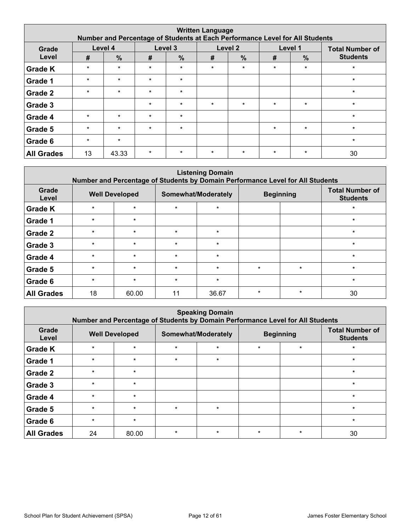| <b>Written Language</b><br>Number and Percentage of Students at Each Performance Level for All Students |         |               |         |               |         |               |         |               |                        |  |  |  |
|---------------------------------------------------------------------------------------------------------|---------|---------------|---------|---------------|---------|---------------|---------|---------------|------------------------|--|--|--|
| Grade                                                                                                   |         | Level 4       |         | Level 3       |         | Level 2       |         | Level 1       | <b>Total Number of</b> |  |  |  |
| Level                                                                                                   | #       | $\frac{0}{0}$ | #       | $\frac{0}{0}$ | #       | $\frac{0}{0}$ | #       | $\frac{0}{0}$ | <b>Students</b>        |  |  |  |
| <b>Grade K</b>                                                                                          | $\star$ | $\star$       | $\star$ | $\star$       | $\star$ | $\star$       | $\star$ | $\star$       | $\star$                |  |  |  |
| Grade 1                                                                                                 | $\star$ | $\star$       | $\star$ | $\star$       |         |               |         |               | $\star$                |  |  |  |
| Grade 2                                                                                                 | $\star$ | $\star$       | $\star$ | $\star$       |         |               |         |               | $\star$                |  |  |  |
| Grade 3                                                                                                 |         |               | $\star$ | $\star$       | $\star$ | $\star$       | $\star$ | $\star$       | $\star$                |  |  |  |
| Grade 4                                                                                                 | $\star$ | $\star$       | $\star$ | $\star$       |         |               |         |               | $\star$                |  |  |  |
| Grade 5                                                                                                 | $\star$ | $\star$       | $\star$ | $\star$       |         |               | $\star$ | $\star$       | $\star$                |  |  |  |
| Grade 6                                                                                                 | $\star$ | $\star$       |         |               |         |               |         |               | $\star$                |  |  |  |
| <b>All Grades</b>                                                                                       | 13      | 43.33         | $\star$ | $\star$       | $\star$ | $\star$       | $\star$ | $\star$       | 30                     |  |  |  |

| <b>Listening Domain</b><br>Number and Percentage of Students by Domain Performance Level for All Students |         |                       |         |                     |         |                  |                                           |  |  |  |  |  |
|-----------------------------------------------------------------------------------------------------------|---------|-----------------------|---------|---------------------|---------|------------------|-------------------------------------------|--|--|--|--|--|
| Grade<br>Level                                                                                            |         | <b>Well Developed</b> |         | Somewhat/Moderately |         | <b>Beginning</b> | <b>Total Number of</b><br><b>Students</b> |  |  |  |  |  |
| <b>Grade K</b>                                                                                            | $\star$ | $\star$               | $\star$ | $\star$             |         |                  | $\star$                                   |  |  |  |  |  |
| Grade 1                                                                                                   | $\star$ | $\star$               |         |                     |         |                  | $\ast$                                    |  |  |  |  |  |
| Grade 2                                                                                                   | $\star$ | $\star$               | $\star$ | $\star$             |         |                  | $\star$                                   |  |  |  |  |  |
| Grade 3                                                                                                   | $\star$ | $\star$               | $\star$ | $\star$             |         |                  | $\star$                                   |  |  |  |  |  |
| Grade 4                                                                                                   | $\star$ | $\star$               | $\star$ | $\star$             |         |                  | $\star$                                   |  |  |  |  |  |
| Grade 5                                                                                                   | $\star$ | $\star$               | $\star$ | $\star$             | $\star$ | $\star$          | $\star$                                   |  |  |  |  |  |
| Grade 6                                                                                                   | $\star$ | $\star$               | $\star$ | $\star$             |         |                  | $\star$                                   |  |  |  |  |  |
| <b>All Grades</b>                                                                                         | 18      | 60.00                 | 11      | 36.67               | $\star$ | $\star$          | 30                                        |  |  |  |  |  |

|                   | <b>Speaking Domain</b><br>Number and Percentage of Students by Domain Performance Level for All Students |         |         |                     |         |                  |                                           |  |  |  |  |  |  |
|-------------------|----------------------------------------------------------------------------------------------------------|---------|---------|---------------------|---------|------------------|-------------------------------------------|--|--|--|--|--|--|
| Grade<br>Level    | <b>Well Developed</b>                                                                                    |         |         | Somewhat/Moderately |         | <b>Beginning</b> | <b>Total Number of</b><br><b>Students</b> |  |  |  |  |  |  |
| <b>Grade K</b>    | $\star$                                                                                                  | $\star$ | $\star$ | $\star$             | $\star$ | $\star$          | $\ast$                                    |  |  |  |  |  |  |
| Grade 1           | $\star$                                                                                                  | $\star$ | $\star$ | $\star$             |         |                  | $\star$                                   |  |  |  |  |  |  |
| Grade 2           | $\star$                                                                                                  | $\star$ |         |                     |         |                  | $\star$                                   |  |  |  |  |  |  |
| Grade 3           | $\star$                                                                                                  | $\star$ |         |                     |         |                  | $\star$                                   |  |  |  |  |  |  |
| Grade 4           | $\star$                                                                                                  | $\star$ |         |                     |         |                  | $\star$                                   |  |  |  |  |  |  |
| Grade 5           | $\star$                                                                                                  | $\star$ | $\star$ | $\star$             |         |                  | $\star$                                   |  |  |  |  |  |  |
| Grade 6           | $\star$                                                                                                  | $\star$ |         |                     |         |                  | $\ast$                                    |  |  |  |  |  |  |
| <b>All Grades</b> | 24                                                                                                       | 80.00   | $\star$ | $\star$             | $\star$ | $\star$          | 30                                        |  |  |  |  |  |  |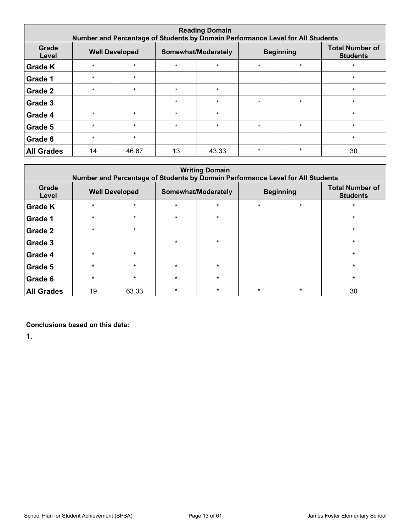| <b>Reading Domain</b><br>Number and Percentage of Students by Domain Performance Level for All Students |         |                       |         |                     |         |                  |                                           |  |  |  |  |  |
|---------------------------------------------------------------------------------------------------------|---------|-----------------------|---------|---------------------|---------|------------------|-------------------------------------------|--|--|--|--|--|
| Grade<br>Level                                                                                          |         | <b>Well Developed</b> |         | Somewhat/Moderately |         | <b>Beginning</b> | <b>Total Number of</b><br><b>Students</b> |  |  |  |  |  |
| <b>Grade K</b>                                                                                          | $\star$ | $\star$               | $\star$ | $\star$             | $\star$ | $\star$          | $\ast$                                    |  |  |  |  |  |
| Grade 1                                                                                                 | $\star$ | $\star$               |         |                     |         |                  | $\star$                                   |  |  |  |  |  |
| Grade 2                                                                                                 | $\star$ | $\star$               | $\star$ | $\star$             |         |                  | $\star$                                   |  |  |  |  |  |
| Grade 3                                                                                                 |         |                       | $\star$ | $\star$             | $\star$ | $\star$          | $\star$                                   |  |  |  |  |  |
| Grade 4                                                                                                 | $\star$ | $\star$               | $\star$ | $\star$             |         |                  | $\star$                                   |  |  |  |  |  |
| Grade 5                                                                                                 | $\star$ | $\star$               | $\star$ | $\star$             | $\star$ | $\star$          | $\star$                                   |  |  |  |  |  |
| Grade 6                                                                                                 | $\star$ | $\star$               |         |                     |         |                  | $\star$                                   |  |  |  |  |  |
| <b>All Grades</b>                                                                                       | 14      | 46.67                 | 13      | 43.33               | $\star$ | $\star$          | 30                                        |  |  |  |  |  |

| <b>Writing Domain</b><br>Number and Percentage of Students by Domain Performance Level for All Students |         |                       |         |                     |         |                  |                                           |  |  |  |  |  |
|---------------------------------------------------------------------------------------------------------|---------|-----------------------|---------|---------------------|---------|------------------|-------------------------------------------|--|--|--|--|--|
| Grade<br>Level                                                                                          |         | <b>Well Developed</b> |         | Somewhat/Moderately |         | <b>Beginning</b> | <b>Total Number of</b><br><b>Students</b> |  |  |  |  |  |
| <b>Grade K</b>                                                                                          | $\star$ | $\star$               | $\star$ | $\star$             | $\star$ | $\star$          | $\ast$                                    |  |  |  |  |  |
| Grade 1                                                                                                 | $\star$ | $\star$               | $\star$ | $\star$             |         |                  | $\star$                                   |  |  |  |  |  |
| Grade 2                                                                                                 | $\star$ | $\star$               |         |                     |         |                  | $\star$                                   |  |  |  |  |  |
| Grade 3                                                                                                 |         |                       | $\star$ | $\star$             |         |                  | $\star$                                   |  |  |  |  |  |
| Grade 4                                                                                                 | $\star$ | $\star$               |         |                     |         |                  | $\star$                                   |  |  |  |  |  |
| Grade 5                                                                                                 | $\star$ | $\star$               | $\star$ | $\star$             |         |                  | $\star$                                   |  |  |  |  |  |
| Grade 6                                                                                                 | $\star$ | $\star$               | $\star$ | $\star$             |         |                  | $\star$                                   |  |  |  |  |  |
| <b>All Grades</b>                                                                                       | 19      | 63.33                 | $\star$ | $\star$             | $\star$ | $\star$          | 30                                        |  |  |  |  |  |

**Conclusions based on this data:**

**1.**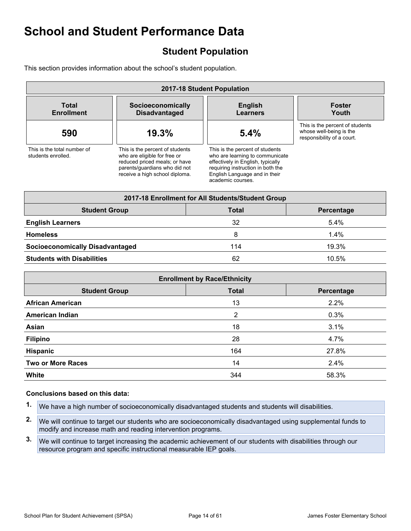## <span id="page-13-0"></span>**Student Population**

This section provides information about the school's student population.

| 2017-18 Student Population                        |                                                                                                                                                                     |                                                                                                                                                                                                    |                                                                                          |  |  |
|---------------------------------------------------|---------------------------------------------------------------------------------------------------------------------------------------------------------------------|----------------------------------------------------------------------------------------------------------------------------------------------------------------------------------------------------|------------------------------------------------------------------------------------------|--|--|
| Total<br><b>Enrollment</b>                        | <b>English</b><br>Socioeconomically<br><b>Disadvantaged</b><br><b>Learners</b>                                                                                      |                                                                                                                                                                                                    | <b>Foster</b><br>Youth                                                                   |  |  |
| 590                                               | 19.3%                                                                                                                                                               | 5.4%                                                                                                                                                                                               | This is the percent of students<br>whose well-being is the<br>responsibility of a court. |  |  |
| This is the total number of<br>students enrolled. | This is the percent of students<br>who are eligible for free or<br>reduced priced meals; or have<br>parents/quardians who did not<br>receive a high school diploma. | This is the percent of students<br>who are learning to communicate<br>effectively in English, typically<br>requiring instruction in both the<br>English Language and in their<br>academic courses. |                                                                                          |  |  |

| 2017-18 Enrollment for All Students/Student Group |     |         |  |  |  |  |  |
|---------------------------------------------------|-----|---------|--|--|--|--|--|
| <b>Student Group</b><br>Total<br>Percentage       |     |         |  |  |  |  |  |
| <b>English Learners</b>                           | 32  | $5.4\%$ |  |  |  |  |  |
| <b>Homeless</b>                                   | 8   | $1.4\%$ |  |  |  |  |  |
| <b>Socioeconomically Disadvantaged</b>            | 114 | 19.3%   |  |  |  |  |  |
| <b>Students with Disabilities</b>                 | 62  | 10.5%   |  |  |  |  |  |

| <b>Enrollment by Race/Ethnicity</b>                |     |       |  |  |  |  |  |
|----------------------------------------------------|-----|-------|--|--|--|--|--|
| <b>Total</b><br><b>Student Group</b><br>Percentage |     |       |  |  |  |  |  |
| <b>African American</b>                            | 13  | 2.2%  |  |  |  |  |  |
| <b>American Indian</b>                             | 2   | 0.3%  |  |  |  |  |  |
| Asian                                              | 18  | 3.1%  |  |  |  |  |  |
| <b>Filipino</b>                                    | 28  | 4.7%  |  |  |  |  |  |
| Hispanic                                           | 164 | 27.8% |  |  |  |  |  |
| <b>Two or More Races</b>                           | 14  | 2.4%  |  |  |  |  |  |
| White                                              | 344 | 58.3% |  |  |  |  |  |

#### **Conclusions based on this data:**

- **1.** We have a high number of socioeconomically disadvantaged students and students will disabilities.
- **2.** We will continue to target our students who are socioeconomically disadvantaged using supplemental funds to modify and increase math and reading intervention programs.
- **3.** We will continue to target increasing the academic achievement of our students with disabilities through our resource program and specific instructional measurable IEP goals.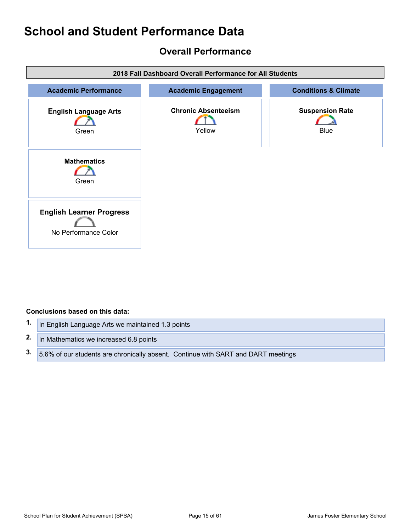## <span id="page-14-0"></span>**Overall Performance**



#### **Conclusions based on this data:**

| 1. In English Language Arts we maintained 1.3 points                                 |
|--------------------------------------------------------------------------------------|
| 2. In Mathematics we increased 6.8 points                                            |
| 3. 5.6% of our students are chronically absent. Continue with SART and DART meetings |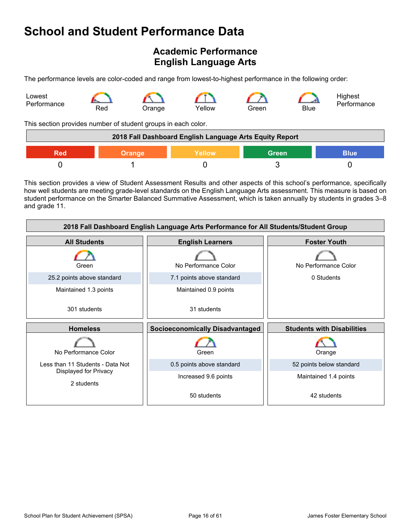## <span id="page-15-0"></span>**Academic Performance English Language Arts**

The performance levels are color-coded and range from lowest-to-highest performance in the following order:



This section provides number of student groups in each color.

| 2018 Fall Dashboard English Language Arts Equity Report       |  |  |  |  |  |
|---------------------------------------------------------------|--|--|--|--|--|
| <b>Blue</b><br>Yellow<br><b>Green</b><br><b>Orange</b><br>Red |  |  |  |  |  |
|                                                               |  |  |  |  |  |

This section provides a view of Student Assessment Results and other aspects of this school's performance, specifically how well students are meeting grade-level standards on the English Language Arts assessment. This measure is based on student performance on the Smarter Balanced Summative Assessment, which is taken annually by students in grades 3–8 and grade 11.

| 2018 Fall Dashboard English Language Arts Performance for All Students/Student Group |                                        |                                   |  |  |  |  |
|--------------------------------------------------------------------------------------|----------------------------------------|-----------------------------------|--|--|--|--|
| <b>All Students</b>                                                                  | <b>Foster Youth</b>                    |                                   |  |  |  |  |
| Green                                                                                | No Performance Color                   | No Performance Color              |  |  |  |  |
| 25.2 points above standard                                                           | 7.1 points above standard              | 0 Students                        |  |  |  |  |
| Maintained 1.3 points                                                                | Maintained 0.9 points                  |                                   |  |  |  |  |
| 301 students                                                                         | 31 students                            |                                   |  |  |  |  |
|                                                                                      |                                        |                                   |  |  |  |  |
| <b>Homeless</b>                                                                      | <b>Socioeconomically Disadvantaged</b> | <b>Students with Disabilities</b> |  |  |  |  |
| No Performance Color                                                                 | Green                                  | Orange                            |  |  |  |  |
| Less than 11 Students - Data Not                                                     | 0.5 points above standard              | 52 points below standard          |  |  |  |  |
| Displayed for Privacy<br>2 students                                                  | Increased 9.6 points                   | Maintained 1.4 points             |  |  |  |  |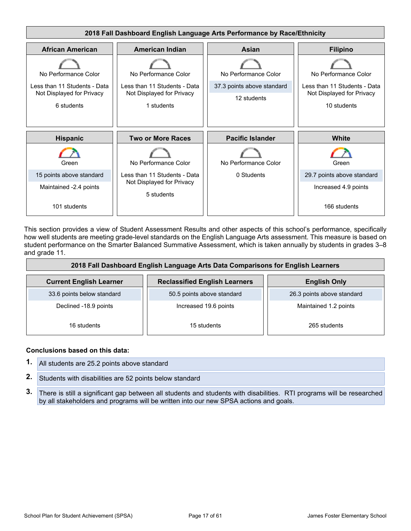

This section provides a view of Student Assessment Results and other aspects of this school's performance, specifically how well students are meeting grade-level standards on the English Language Arts assessment. This measure is based on student performance on the Smarter Balanced Summative Assessment, which is taken annually by students in grades 3–8 and grade 11.

| 2018 Fall Dashboard English Language Arts Data Comparisons for English Learners               |                            |                            |  |  |  |
|-----------------------------------------------------------------------------------------------|----------------------------|----------------------------|--|--|--|
| <b>Current English Learner</b><br><b>Reclassified English Learners</b><br><b>English Only</b> |                            |                            |  |  |  |
| 33.6 points below standard                                                                    | 50.5 points above standard | 26.3 points above standard |  |  |  |
| Declined -18.9 points                                                                         | Increased 19.6 points      | Maintained 1.2 points      |  |  |  |
| 16 students                                                                                   | 15 students                | 265 students               |  |  |  |

#### **Conclusions based on this data:**

- **1.** All students are 25.2 points above standard
- **2.** Students with disabilities are 52 points below standard
- **3.** There is still a significant gap between all students and students with disabilities. RTI programs will be researched by all stakeholders and programs will be written into our new SPSA actions and goals.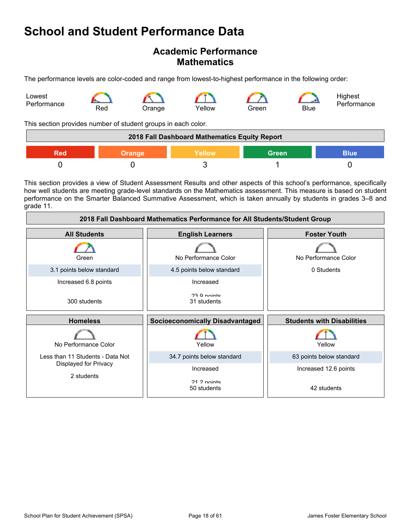### **Academic Performance Mathematics**

The performance levels are color-coded and range from lowest-to-highest performance in the following order:



This section provides number of student groups in each color.

| 2018 Fall Dashboard Mathematics Equity Report          |  |  |  |  |  |
|--------------------------------------------------------|--|--|--|--|--|
| <b>Green</b><br>Yellow<br><b>Blue</b><br>Orange<br>Red |  |  |  |  |  |
|                                                        |  |  |  |  |  |

This section provides a view of Student Assessment Results and other aspects of this school's performance, specifically how well students are meeting grade-level standards on the Mathematics assessment. This measure is based on student performance on the Smarter Balanced Summative Assessment, which is taken annually by students in grades 3–8 and grade 11.

| 2018 Fall Dashboard Mathematics Performance for All Students/Student Group |                                        |                                   |  |  |  |  |
|----------------------------------------------------------------------------|----------------------------------------|-----------------------------------|--|--|--|--|
| <b>All Students</b>                                                        | <b>English Learners</b>                |                                   |  |  |  |  |
| Green                                                                      | No Performance Color                   | No Performance Color              |  |  |  |  |
| 3.1 points below standard                                                  | 4.5 points below standard              | 0 Students                        |  |  |  |  |
| Increased 6.8 points                                                       | Increased                              |                                   |  |  |  |  |
| 300 students                                                               | 23 Q nointe<br>31 students             |                                   |  |  |  |  |
| <b>Homeless</b>                                                            | <b>Socioeconomically Disadvantaged</b> | <b>Students with Disabilities</b> |  |  |  |  |
| No Performance Color                                                       | Yellow                                 | Yellow                            |  |  |  |  |
| Less than 11 Students - Data Not                                           | 34.7 points below standard             | 63 points below standard          |  |  |  |  |
| Displayed for Privacy                                                      | Increased                              | Increased 12.6 points             |  |  |  |  |
| 2 students                                                                 | 21.2 nointe<br>50 students             | 42 students                       |  |  |  |  |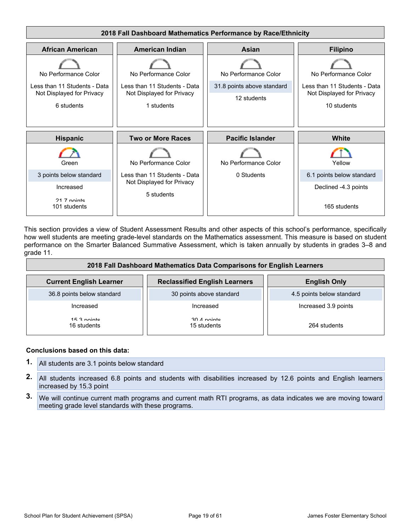

This section provides a view of Student Assessment Results and other aspects of this school's performance, specifically how well students are meeting grade-level standards on the Mathematics assessment. This measure is based on student performance on the Smarter Balanced Summative Assessment, which is taken annually by students in grades 3–8 and grade 11.

| 2018 Fall Dashboard Mathematics Data Comparisons for English Learners |                                      |                           |  |  |  |
|-----------------------------------------------------------------------|--------------------------------------|---------------------------|--|--|--|
| <b>Current English Learner</b>                                        | <b>Reclassified English Learners</b> | <b>English Only</b>       |  |  |  |
| 36.8 points below standard                                            | 30 points above standard             | 4.5 points below standard |  |  |  |
| Increased                                                             | Increased                            | Increased 3.9 points      |  |  |  |
| 15.3 nointe<br>16 students                                            | $30.4$ nointe<br>15 students         | 264 students              |  |  |  |

#### **Conclusions based on this data:**

- **1.** All students are 3.1 points below standard
- **2.** All students increased 6.8 points and students with disabilities increased by 12.6 points and English learners increased by 15.3 point
- **3.** We will continue current math programs and current math RTI programs, as data indicates we are moving toward meeting grade level standards with these programs.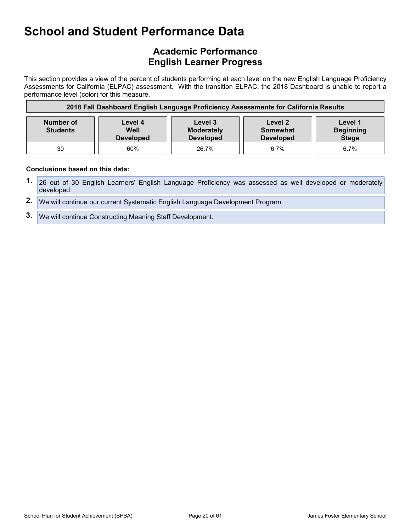## **Academic Performance English Learner Progress**

This section provides a view of the percent of students performing at each level on the new English Language Proficiency Assessments for California (ELPAC) assessment. With the transition ELPAC, the 2018 Dashboard is unable to report a performance level (color) for this measure.

| 2018 Fall Dashboard English Language Proficiency Assessments for California Results |                                                                                                                                                                                          |       |      |      |  |  |
|-------------------------------------------------------------------------------------|------------------------------------------------------------------------------------------------------------------------------------------------------------------------------------------|-------|------|------|--|--|
| <b>Number of</b><br><b>Students</b>                                                 | Level 1<br>Level 3<br>Level 2<br>Level 4<br>Well<br><b>Beginning</b><br><b>Moderately</b><br><b>Somewhat</b><br><b>Stage</b><br><b>Developed</b><br><b>Developed</b><br><b>Developed</b> |       |      |      |  |  |
| 30                                                                                  | 60%                                                                                                                                                                                      | 26.7% | 6.7% | 6.7% |  |  |

#### **Conclusions based on this data:**

- **1.** 26 out of 30 English Learners' English Language Proficiency was assessed as well developed or moderately developed.
- **2.** We will continue our current Systematic English Language Development Program.
- **3.** We will continue Constructing Meaning Staff Development.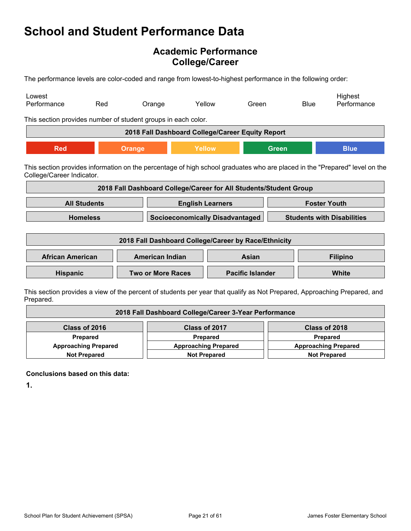## **Academic Performance College/Career**

The performance levels are color-coded and range from lowest-to-highest performance in the following order:

| Lowest<br>Performance                                         | Red                                                                                                                                                     | Orange                                                            | Yellow                          | Green                                                                       |              | <b>Blue</b>     | Highest<br>Performance                                                                                                   |
|---------------------------------------------------------------|---------------------------------------------------------------------------------------------------------------------------------------------------------|-------------------------------------------------------------------|---------------------------------|-----------------------------------------------------------------------------|--------------|-----------------|--------------------------------------------------------------------------------------------------------------------------|
| This section provides number of student groups in each color. |                                                                                                                                                         |                                                                   |                                 |                                                                             |              |                 |                                                                                                                          |
|                                                               |                                                                                                                                                         | 2018 Fall Dashboard College/Career Equity Report                  |                                 |                                                                             |              |                 |                                                                                                                          |
| <b>Red</b>                                                    |                                                                                                                                                         | <b>Orange</b>                                                     | Yellow                          |                                                                             | <b>Green</b> |                 | <b>Blue</b>                                                                                                              |
|                                                               | This section provides information on the percentage of high school graduates who are placed in the "Prepared" level on the<br>College/Career Indicator. |                                                                   |                                 |                                                                             |              |                 |                                                                                                                          |
|                                                               |                                                                                                                                                         | 2018 Fall Dashboard College/Career for All Students/Student Group |                                 |                                                                             |              |                 |                                                                                                                          |
|                                                               | <b>All Students</b>                                                                                                                                     |                                                                   | <b>English Learners</b>         |                                                                             |              |                 | <b>Foster Youth</b>                                                                                                      |
|                                                               | <b>Homeless</b>                                                                                                                                         |                                                                   |                                 | <b>Socioeconomically Disadvantaged</b><br><b>Students with Disabilities</b> |              |                 |                                                                                                                          |
|                                                               |                                                                                                                                                         | 2018 Fall Dashboard College/Career by Race/Ethnicity              |                                 |                                                                             |              |                 |                                                                                                                          |
| <b>African American</b>                                       |                                                                                                                                                         |                                                                   | <b>American Indian</b><br>Asian |                                                                             |              | <b>Filipino</b> |                                                                                                                          |
| <b>Hispanic</b>                                               |                                                                                                                                                         | <b>Two or More Races</b>                                          | <b>Pacific Islander</b>         |                                                                             |              |                 | <b>White</b>                                                                                                             |
|                                                               |                                                                                                                                                         |                                                                   |                                 |                                                                             |              |                 | This section provides a view of the percent of students per vear that qualify as Not Prepared. Approaching Prepared, and |

ection provides a view of the percent of students per year that qualify as Not Prepared, Approaching Prepared, and Prepared.

| 2018 Fall Dashboard College/Career 3-Year Performance |                             |                             |  |
|-------------------------------------------------------|-----------------------------|-----------------------------|--|
| Class of 2016                                         | Class of 2017               | Class of 2018               |  |
| <b>Prepared</b>                                       | Prepared                    | <b>Prepared</b>             |  |
| <b>Approaching Prepared</b>                           | <b>Approaching Prepared</b> | <b>Approaching Prepared</b> |  |
| <b>Not Prepared</b>                                   | <b>Not Prepared</b>         | <b>Not Prepared</b>         |  |

**Conclusions based on this data:**

**1.**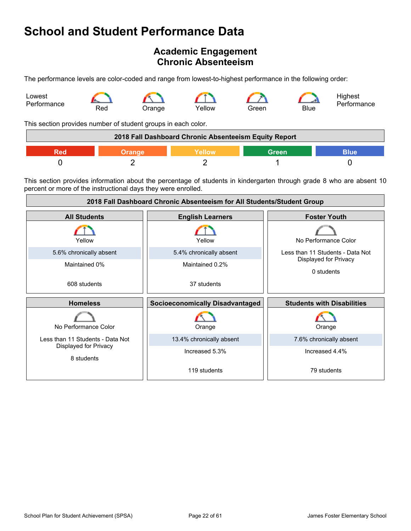## <span id="page-21-0"></span>**Academic Engagement Chronic Absenteeism**

The performance levels are color-coded and range from lowest-to-highest performance in the following order:



This section provides number of student groups in each color.

|        | 2018 Fall Dashboard Chronic Absenteeism Equity Report |       |             |
|--------|-------------------------------------------------------|-------|-------------|
| Orange | Yellow                                                | Green | <b>Blue</b> |
|        |                                                       |       |             |

This section provides information about the percentage of students in kindergarten through grade 8 who are absent 10 percent or more of the instructional days they were enrolled.

| 2018 Fall Dashboard Chronic Absenteeism for All Students/Student Group |                                        |                                     |  |
|------------------------------------------------------------------------|----------------------------------------|-------------------------------------|--|
| <b>All Students</b>                                                    | <b>English Learners</b>                | <b>Foster Youth</b>                 |  |
| Yellow                                                                 | Yellow                                 | No Performance Color                |  |
| 5.6% chronically absent                                                | 5.4% chronically absent                | Less than 11 Students - Data Not    |  |
| Maintained 0%                                                          | Maintained 0.2%                        | Displayed for Privacy<br>0 students |  |
| 608 students                                                           | 37 students                            |                                     |  |
| <b>Homeless</b>                                                        | <b>Socioeconomically Disadvantaged</b> | <b>Students with Disabilities</b>   |  |
| No Performance Color                                                   | Orange                                 | Orange                              |  |
| Less than 11 Students - Data Not                                       | 13.4% chronically absent               | 7.6% chronically absent             |  |
| Displayed for Privacy<br>8 students                                    | Increased 5.3%                         | Increased 4.4%                      |  |
|                                                                        | 119 students                           | 79 students                         |  |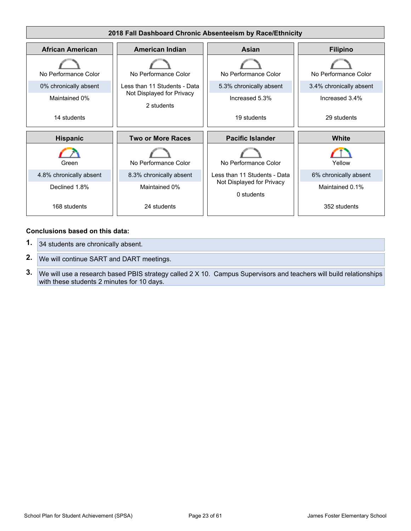

#### **Conclusions based on this data:**

- **1.** 34 students are chronically absent.
- **2.** We will continue SART and DART meetings.
- **3.** We will use a research based PBIS strategy called 2 X 10. Campus Supervisors and teachers will build relationships with these students 2 minutes for 10 days.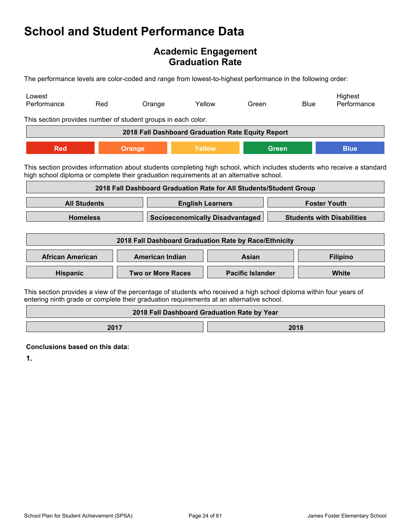### **Academic Engagement Graduation Rate**

The performance levels are color-coded and range from lowest-to-highest performance in the following order:

| Lowest<br>Performance                                                                                                                                                                                          | Red                                                                   | Orange                                                             |                                             | Yellow                  | Green |              | <b>Blue</b> | Highest<br>Performance                                                                                                  |
|----------------------------------------------------------------------------------------------------------------------------------------------------------------------------------------------------------------|-----------------------------------------------------------------------|--------------------------------------------------------------------|---------------------------------------------|-------------------------|-------|--------------|-------------|-------------------------------------------------------------------------------------------------------------------------|
| This section provides number of student groups in each color.                                                                                                                                                  |                                                                       |                                                                    |                                             |                         |       |              |             |                                                                                                                         |
|                                                                                                                                                                                                                |                                                                       | 2018 Fall Dashboard Graduation Rate Equity Report                  |                                             |                         |       |              |             |                                                                                                                         |
| <b>Red</b>                                                                                                                                                                                                     |                                                                       | <b>Orange</b>                                                      | Yellow                                      |                         |       | <b>Green</b> |             | <b>Blue</b>                                                                                                             |
| high school diploma or complete their graduation requirements at an alternative school.                                                                                                                        |                                                                       |                                                                    |                                             |                         |       |              |             | This section provides information about students completing high school, which includes students who receive a standard |
|                                                                                                                                                                                                                |                                                                       | 2018 Fall Dashboard Graduation Rate for All Students/Student Group |                                             |                         |       |              |             |                                                                                                                         |
|                                                                                                                                                                                                                | <b>All Students</b><br><b>Foster Youth</b><br><b>English Learners</b> |                                                                    |                                             |                         |       |              |             |                                                                                                                         |
| <b>Homeless</b><br><b>Socioeconomically Disadvantaged</b><br><b>Students with Disabilities</b>                                                                                                                 |                                                                       |                                                                    |                                             |                         |       |              |             |                                                                                                                         |
|                                                                                                                                                                                                                |                                                                       | 2018 Fall Dashboard Graduation Rate by Race/Ethnicity              |                                             |                         |       |              |             |                                                                                                                         |
| <b>African American</b>                                                                                                                                                                                        |                                                                       | <b>American Indian</b>                                             |                                             |                         | Asian |              |             | <b>Filipino</b>                                                                                                         |
|                                                                                                                                                                                                                | Hispanic<br><b>Two or More Races</b>                                  |                                                                    |                                             | <b>Pacific Islander</b> |       |              | White       |                                                                                                                         |
| This section provides a view of the percentage of students who received a high school diploma within four years of<br>entering ninth grade or complete their graduation requirements at an alternative school. |                                                                       |                                                                    |                                             |                         |       |              |             |                                                                                                                         |
|                                                                                                                                                                                                                |                                                                       |                                                                    | 2018 Fall Dashboard Graduation Rate by Year |                         |       |              |             |                                                                                                                         |

**2017 2018** 

**Conclusions based on this data:**

**1.**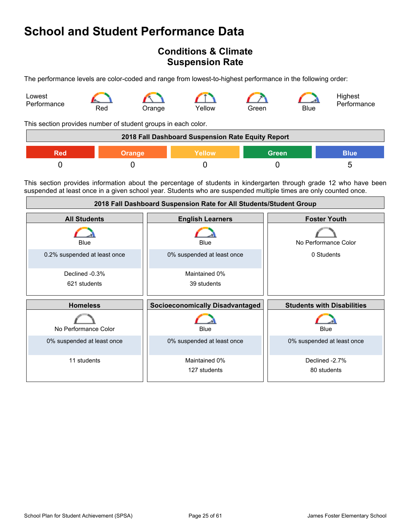## <span id="page-24-0"></span>**Conditions & Climate Suspension Rate**

The performance levels are color-coded and range from lowest-to-highest performance in the following order:



This section provides number of student groups in each color.

|     |               | 2018 Fall Dashboard Suspension Rate Equity Report |              |             |
|-----|---------------|---------------------------------------------------|--------------|-------------|
| Red | <b>Orange</b> | Yellow                                            | <b>Green</b> | <b>Blue</b> |
|     |               |                                                   |              |             |

This section provides information about the percentage of students in kindergarten through grade 12 who have been suspended at least once in a given school year. Students who are suspended multiple times are only counted once.

| 2018 Fall Dashboard Suspension Rate for All Students/Student Group |                                        |                                   |  |
|--------------------------------------------------------------------|----------------------------------------|-----------------------------------|--|
| <b>All Students</b>                                                | <b>English Learners</b>                | <b>Foster Youth</b>               |  |
| Blue                                                               | Blue                                   | No Performance Color              |  |
| 0.2% suspended at least once                                       | 0% suspended at least once             | 0 Students                        |  |
| Declined -0.3%                                                     | Maintained 0%                          |                                   |  |
| 621 students                                                       | 39 students                            |                                   |  |
|                                                                    |                                        |                                   |  |
| <b>Homeless</b>                                                    | <b>Socioeconomically Disadvantaged</b> | <b>Students with Disabilities</b> |  |
| No Performance Color                                               | Blue                                   | Blue                              |  |
| 0% suspended at least once                                         | 0% suspended at least once             | 0% suspended at least once        |  |
| 11 students                                                        | Maintained 0%<br>127 students          | Declined -2.7%<br>80 students     |  |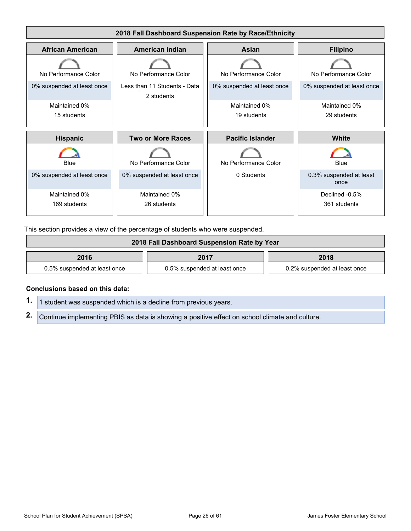

This section provides a view of the percentage of students who were suspended.

| 2018 Fall Dashboard Suspension Rate by Year |                              |                              |  |
|---------------------------------------------|------------------------------|------------------------------|--|
| 2016                                        | 2017                         | 2018                         |  |
| 0.5% suspended at least once                | 0.5% suspended at least once | 0.2% suspended at least once |  |

#### **Conclusions based on this data:**

**1.** 1 student was suspended which is a decline from previous years.

**2.** Continue implementing PBIS as data is showing a positive effect on school climate and culture.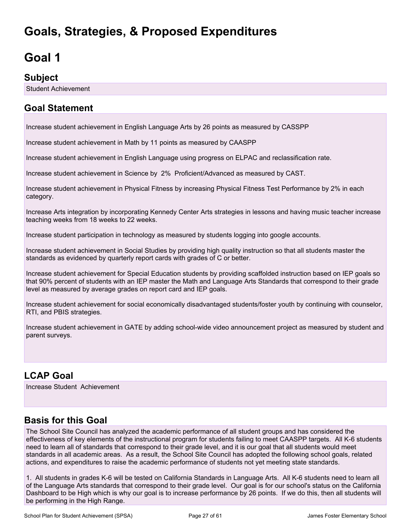## <span id="page-26-0"></span>**Goals, Strategies, & Proposed Expenditures**

# <span id="page-26-1"></span>**Goal 1**

### **Subject**

Student Achievement

## **Goal Statement**

Increase student achievement in English Language Arts by 26 points as measured by CASSPP

Increase student achievement in Math by 11 points as measured by CAASPP

Increase student achievement in English Language using progress on ELPAC and reclassification rate.

Increase student achievement in Science by 2% Proficient/Advanced as measured by CAST.

Increase student achievement in Physical Fitness by increasing Physical Fitness Test Performance by 2% in each category.

Increase Arts integration by incorporating Kennedy Center Arts strategies in lessons and having music teacher increase teaching weeks from 18 weeks to 22 weeks.

Increase student participation in technology as measured by students logging into google accounts.

Increase student achievement in Social Studies by providing high quality instruction so that all students master the standards as evidenced by quarterly report cards with grades of C or better.

Increase student achievement for Special Education students by providing scaffolded instruction based on IEP goals so that 90% percent of students with an IEP master the Math and Language Arts Standards that correspond to their grade level as measured by average grades on report card and IEP goals.

Increase student achievement for social economically disadvantaged students/foster youth by continuing with counselor, RTI, and PBIS strategies.

Increase student achievement in GATE by adding school-wide video announcement project as measured by student and parent surveys.

## **LCAP Goal**

Increase Student Achievement

## **Basis for this Goal**

The School Site Council has analyzed the academic performance of all student groups and has considered the effectiveness of key elements of the instructional program for students failing to meet CAASPP targets. All K-6 students need to learn all of standards that correspond to their grade level, and it is our goal that all students would meet standards in all academic areas. As a result, the School Site Council has adopted the following school goals, related actions, and expenditures to raise the academic performance of students not yet meeting state standards.

1. All students in grades K-6 will be tested on California Standards in Language Arts. All K-6 students need to learn all of the Language Arts standards that correspond to their grade level. Our goal is for our school's status on the California Dashboard to be High which is why our goal is to increase performance by 26 points. If we do this, then all students will be performing in the High Range.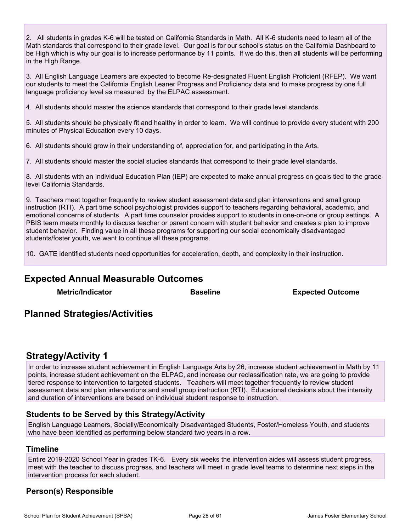2. All students in grades K-6 will be tested on California Standards in Math. All K-6 students need to learn all of the Math standards that correspond to their grade level. Our goal is for our school's status on the California Dashboard to be High which is why our goal is to increase performance by 11 points. If we do this, then all students will be performing in the High Range.

3. All English Language Learners are expected to become Re-designated Fluent English Proficient (RFEP). We want our students to meet the California English Leaner Progress and Proficiency data and to make progress by one full language proficiency level as measured by the ELPAC assessment.

4. All students should master the science standards that correspond to their grade level standards.

5. All students should be physically fit and healthy in order to learn. We will continue to provide every student with 200 minutes of Physical Education every 10 days.

6. All students should grow in their understanding of, appreciation for, and participating in the Arts.

7. All students should master the social studies standards that correspond to their grade level standards.

8. All students with an Individual Education Plan (IEP) are expected to make annual progress on goals tied to the grade level California Standards.

9. Teachers meet together frequently to review student assessment data and plan interventions and small group instruction (RTI). A part time school psychologist provides support to teachers regarding behavioral, academic, and emotional concerns of students. A part time counselor provides support to students in one-on-one or group settings. A PBIS team meets monthly to discuss teacher or parent concern with student behavior and creates a plan to improve student behavior. Finding value in all these programs for supporting our social economically disadvantaged students/foster youth, we want to continue all these programs.

10. GATE identified students need opportunities for acceleration, depth, and complexity in their instruction.

### **Expected Annual Measurable Outcomes**

**Metric/Indicator Baseline Expected Outcome**

### **Planned Strategies/Activities**

### **Strategy/Activity 1**

In order to increase student achievement in English Language Arts by 26, increase student achievement in Math by 11 points, increase student achievement on the ELPAC, and increase our reclassification rate, we are going to provide tiered response to intervention to targeted students. Teachers will meet together frequently to review student assessment data and plan interventions and small group instruction (RTI). Educational decisions about the intensity and duration of interventions are based on individual student response to instruction.

#### **Students to be Served by this Strategy/Activity**

English Language Learners, Socially/Economically Disadvantaged Students, Foster/Homeless Youth, and students who have been identified as performing below standard two years in a row.

#### **Timeline**

Entire 2019-2020 School Year in grades TK-6. Every six weeks the intervention aides will assess student progress, meet with the teacher to discuss progress, and teachers will meet in grade level teams to determine next steps in the intervention process for each student.

### **Person(s) Responsible**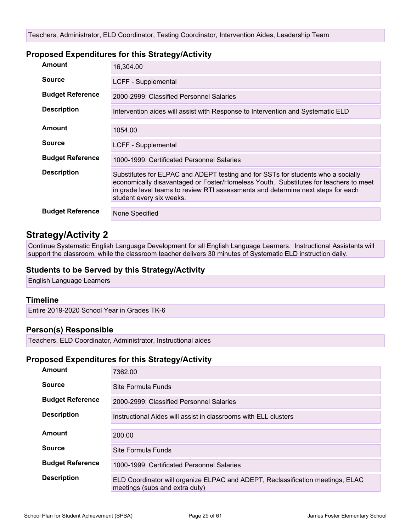#### **Proposed Expenditures for this Strategy/Activity**

| Amount                  | 16,304.00                                                                                                                                                                                                                                                                                |
|-------------------------|------------------------------------------------------------------------------------------------------------------------------------------------------------------------------------------------------------------------------------------------------------------------------------------|
| <b>Source</b>           | LCFF - Supplemental                                                                                                                                                                                                                                                                      |
| <b>Budget Reference</b> | 2000-2999: Classified Personnel Salaries                                                                                                                                                                                                                                                 |
| <b>Description</b>      | Intervention aides will assist with Response to Intervention and Systematic ELD                                                                                                                                                                                                          |
| Amount                  | 1054.00                                                                                                                                                                                                                                                                                  |
|                         |                                                                                                                                                                                                                                                                                          |
| <b>Source</b>           | LCFF - Supplemental                                                                                                                                                                                                                                                                      |
| <b>Budget Reference</b> | 1000-1999: Certificated Personnel Salaries                                                                                                                                                                                                                                               |
| <b>Description</b>      | Substitutes for ELPAC and ADEPT testing and for SSTs for students who a socially<br>economically disavantaged or Foster/Homeless Youth. Substitutes for teachers to meet<br>in grade level teams to review RTI assessments and determine next steps for each<br>student every six weeks. |
| <b>Budget Reference</b> | None Specified                                                                                                                                                                                                                                                                           |

### **Strategy/Activity 2**

Continue Systematic English Language Development for all English Language Learners. Instructional Assistants will support the classroom, while the classroom teacher delivers 30 minutes of Systematic ELD instruction daily.

#### **Students to be Served by this Strategy/Activity**

English Language Learners

#### **Timeline**

Entire 2019-2020 School Year in Grades TK-6

#### **Person(s) Responsible**

Teachers, ELD Coordinator, Administrator, Instructional aides

#### **Proposed Expenditures for this Strategy/Activity**

| <b>Amount</b>           | 7362.00                                                                                                          |
|-------------------------|------------------------------------------------------------------------------------------------------------------|
| <b>Source</b>           | Site Formula Funds                                                                                               |
| <b>Budget Reference</b> | 2000-2999: Classified Personnel Salaries                                                                         |
| <b>Description</b>      | Instructional Aides will assist in classrooms with ELL clusters                                                  |
| Amount                  | 200.00                                                                                                           |
| <b>Source</b>           | Site Formula Funds                                                                                               |
| <b>Budget Reference</b> | 1000-1999: Certificated Personnel Salaries                                                                       |
| <b>Description</b>      | ELD Coordinator will organize ELPAC and ADEPT, Reclassification meetings, ELAC<br>meetings (subs and extra duty) |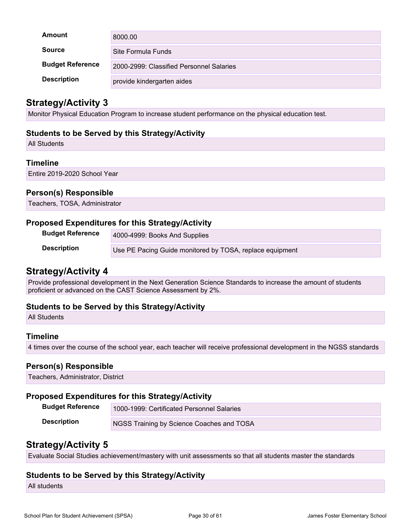| Amount                  | 8000.00                                  |
|-------------------------|------------------------------------------|
| <b>Source</b>           | Site Formula Funds                       |
| <b>Budget Reference</b> | 2000-2999: Classified Personnel Salaries |
| <b>Description</b>      | provide kindergarten aides               |

### **Strategy/Activity 3**

Monitor Physical Education Program to increase student performance on the physical education test.

#### **Students to be Served by this Strategy/Activity**

All Students

#### **Timeline**

Entire 2019-2020 School Year

#### **Person(s) Responsible**

Teachers, TOSA, Administrator

#### **Proposed Expenditures for this Strategy/Activity**

| <b>Budget Reference</b> | 4000-4999: Books And Supplies                            |
|-------------------------|----------------------------------------------------------|
| <b>Description</b>      | Use PE Pacing Guide monitored by TOSA, replace equipment |

### **Strategy/Activity 4**

Provide professional development in the Next Generation Science Standards to increase the amount of students proficient or advanced on the CAST Science Assessment by 2%.

#### **Students to be Served by this Strategy/Activity**

All Students

#### **Timeline**

4 times over the course of the school year, each teacher will receive professional development in the NGSS standards

#### **Person(s) Responsible**

Teachers, Administrator, District

#### **Proposed Expenditures for this Strategy/Activity**

| <b>Budget Reference</b> | 1000-1999: Certificated Personnel Salaries |
|-------------------------|--------------------------------------------|
| <b>Description</b>      | NGSS Training by Science Coaches and TOSA  |

### **Strategy/Activity 5**

Evaluate Social Studies achievement/mastery with unit assessments so that all students master the standards

#### **Students to be Served by this Strategy/Activity**

All students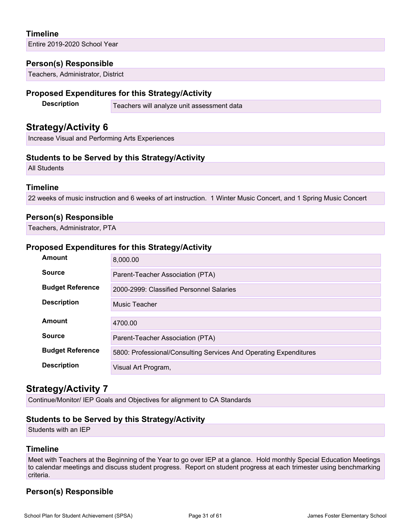### **Timeline**

Entire 2019-2020 School Year

#### **Person(s) Responsible**

Teachers, Administrator, District

#### **Proposed Expenditures for this Strategy/Activity**

**Description** Teachers will analyze unit assessment data

### **Strategy/Activity 6**

Increase Visual and Performing Arts Experiences

#### **Students to be Served by this Strategy/Activity**

All Students

#### **Timeline**

22 weeks of music instruction and 6 weeks of art instruction. 1 Winter Music Concert, and 1 Spring Music Concert

#### **Person(s) Responsible**

Teachers, Administrator, PTA

#### **Proposed Expenditures for this Strategy/Activity**

| Amount                  | 8.000.00                                                          |  |  |  |
|-------------------------|-------------------------------------------------------------------|--|--|--|
| <b>Source</b>           | Parent-Teacher Association (PTA)                                  |  |  |  |
| <b>Budget Reference</b> | 2000-2999: Classified Personnel Salaries                          |  |  |  |
| <b>Description</b>      | Music Teacher                                                     |  |  |  |
| Amount                  | 4700.00                                                           |  |  |  |
| <b>Source</b>           | Parent-Teacher Association (PTA)                                  |  |  |  |
| <b>Budget Reference</b> | 5800: Professional/Consulting Services And Operating Expenditures |  |  |  |
| <b>Description</b>      | Visual Art Program,                                               |  |  |  |

### **Strategy/Activity 7**

Continue/Monitor/ IEP Goals and Objectives for alignment to CA Standards

#### **Students to be Served by this Strategy/Activity**

Students with an IEP

#### **Timeline**

Meet with Teachers at the Beginning of the Year to go over IEP at a glance. Hold monthly Special Education Meetings to calendar meetings and discuss student progress. Report on student progress at each trimester using benchmarking criteria.

### **Person(s) Responsible**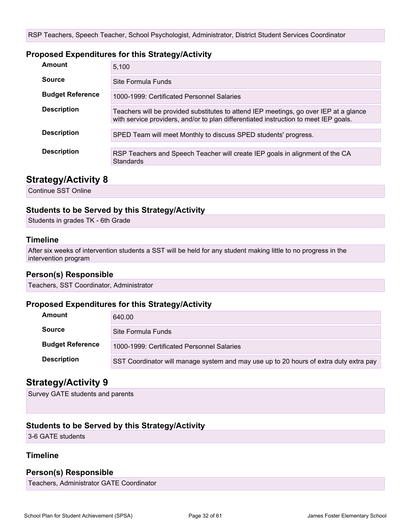#### **Proposed Expenditures for this Strategy/Activity**

| Amount                  | 5,100                                                                                                                                                                         |  |  |  |
|-------------------------|-------------------------------------------------------------------------------------------------------------------------------------------------------------------------------|--|--|--|
| Source                  | Site Formula Funds                                                                                                                                                            |  |  |  |
| <b>Budget Reference</b> | 1000-1999: Certificated Personnel Salaries                                                                                                                                    |  |  |  |
| <b>Description</b>      | Teachers will be provided substitutes to attend IEP meetings, go over IEP at a glance<br>with service providers, and/or to plan differentiated instruction to meet IEP goals. |  |  |  |
| <b>Description</b>      | SPED Team will meet Monthly to discuss SPED students' progress.                                                                                                               |  |  |  |
| <b>Description</b>      | RSP Teachers and Speech Teacher will create IEP goals in alignment of the CA<br><b>Standards</b>                                                                              |  |  |  |

### **Strategy/Activity 8**

Continue SST Online

#### **Students to be Served by this Strategy/Activity**

Students in grades TK - 6th Grade

#### **Timeline**

After six weeks of intervention students a SST will be held for any student making little to no progress in the intervention program

#### **Person(s) Responsible**

Teachers, SST Coordinator, Administrator

#### **Proposed Expenditures for this Strategy/Activity**

| Amount                  | 640.00                                                                                |
|-------------------------|---------------------------------------------------------------------------------------|
| <b>Source</b>           | Site Formula Funds                                                                    |
| <b>Budget Reference</b> | 1000-1999: Certificated Personnel Salaries                                            |
| <b>Description</b>      | SST Coordinator will manage system and may use up to 20 hours of extra duty extra pay |

### **Strategy/Activity 9**

Survey GATE students and parents

#### **Students to be Served by this Strategy/Activity**

3-6 GATE students

#### **Timeline**

#### **Person(s) Responsible**

Teachers, Administrator GATE Coordinator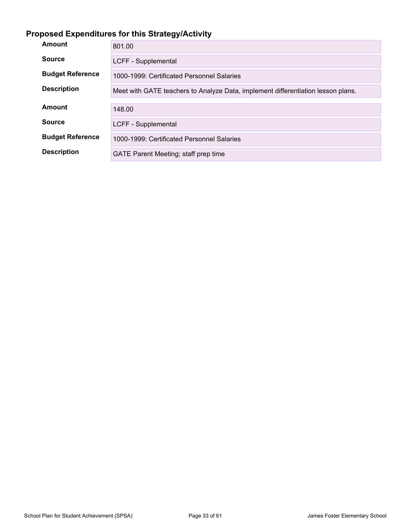## **Proposed Expenditures for this Strategy/Activity**

| Amount                  | 801.00                                                                           |  |  |  |
|-------------------------|----------------------------------------------------------------------------------|--|--|--|
| <b>Source</b>           | LCFF - Supplemental                                                              |  |  |  |
| <b>Budget Reference</b> | 1000-1999: Certificated Personnel Salaries                                       |  |  |  |
| <b>Description</b>      | Meet with GATE teachers to Analyze Data, implement differentiation lesson plans. |  |  |  |
| Amount                  | 148.00                                                                           |  |  |  |
| <b>Source</b>           |                                                                                  |  |  |  |
|                         | LCFF - Supplemental                                                              |  |  |  |
| <b>Budget Reference</b> | 1000-1999: Certificated Personnel Salaries                                       |  |  |  |
| <b>Description</b>      | GATE Parent Meeting; staff prep time                                             |  |  |  |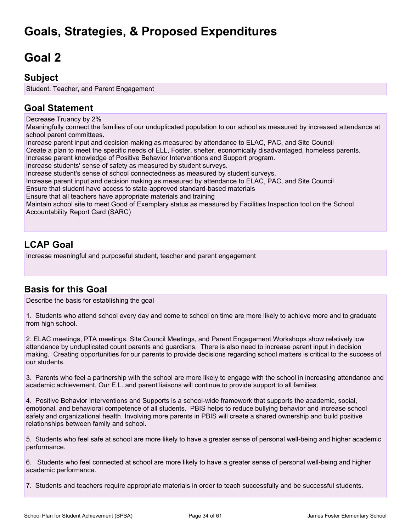## **Goals, Strategies, & Proposed Expenditures**

# <span id="page-33-0"></span>**Goal 2**

### **Subject**

Student, Teacher, and Parent Engagement

## **Goal Statement**

Decrease Truancy by 2%

Meaningfully connect the families of our unduplicated population to our school as measured by increased attendance at school parent committees.

Increase parent input and decision making as measured by attendance to ELAC, PAC, and Site Council Create a plan to meet the specific needs of ELL, Foster, shelter, economically disadvantaged, homeless parents. Increase parent knowledge of Positive Behavior Interventions and Support program. Increase students' sense of safety as measured by student surveys. Increase student's sense of school connectedness as measured by student surveys. Increase parent input and decision making as measured by attendance to ELAC, PAC, and Site Council Ensure that student have access to state-approved standard-based materials Ensure that all teachers have appropriate materials and training Maintain school site to meet Good of Exemplary status as measured by Facilities Inspection tool on the School Accountability Report Card (SARC)

## **LCAP Goal**

Increase meaningful and purposeful student, teacher and parent engagement

## **Basis for this Goal**

Describe the basis for establishing the goal

1. Students who attend school every day and come to school on time are more likely to achieve more and to graduate from high school.

2. ELAC meetings, PTA meetings, Site Council Meetings, and Parent Engagement Workshops show relatively low attendance by unduplicated count parents and guardians. There is also need to increase parent input in decision making. Creating opportunities for our parents to provide decisions regarding school matters is critical to the success of our students.

3. Parents who feel a partnership with the school are more likely to engage with the school in increasing attendance and academic achievement. Our E.L. and parent liaisons will continue to provide support to all families.

4. Positive Behavior Interventions and Supports is a school-wide framework that supports the academic, social, emotional, and behavioral competence of all students. PBIS helps to reduce bullying behavior and increase school safety and organizational health. Involving more parents in PBIS will create a shared ownership and build positive relationships between family and school.

5. Students who feel safe at school are more likely to have a greater sense of personal well-being and higher academic performance.

6. Students who feel connected at school are more likely to have a greater sense of personal well-being and higher academic performance.

7. Students and teachers require appropriate materials in order to teach successfully and be successful students.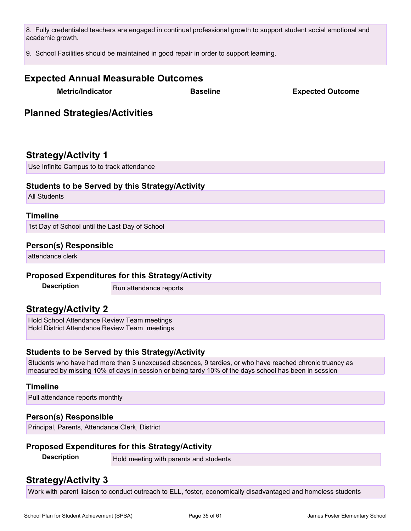8. Fully credentialed teachers are engaged in continual professional growth to support student social emotional and academic growth.

9. School Facilities should be maintained in good repair in order to support learning.

# **Expected Annual Measurable Outcomes Metric/Indicator Baseline Expected Outcome Planned Strategies/Activities Strategy/Activity 1** Use Infinite Campus to to track attendance **Students to be Served by this Strategy/Activity** All Students **Timeline** 1st Day of School until the Last Day of School **Person(s) Responsible** attendance clerk **Proposed Expenditures for this Strategy/Activity Description** Run attendance reports

## **Strategy/Activity 2**

Hold School Attendance Review Team meetings Hold District Attendance Review Team meetings

#### **Students to be Served by this Strategy/Activity**

Students who have had more than 3 unexcused absences, 9 tardies, or who have reached chronic truancy as measured by missing 10% of days in session or being tardy 10% of the days school has been in session

#### **Timeline**

Pull attendance reports monthly

#### **Person(s) Responsible**

Principal, Parents, Attendance Clerk, District

#### **Proposed Expenditures for this Strategy/Activity**

**Description** Hold meeting with parents and students

## **Strategy/Activity 3**

Work with parent liaison to conduct outreach to ELL, foster, economically disadvantaged and homeless students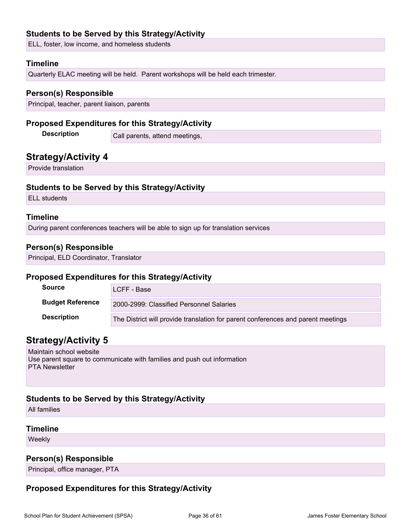#### **Students to be Served by this Strategy/Activity**

ELL, foster, low income, and homeless students

#### **Timeline**

Quarterly ELAC meeting will be held. Parent workshops will be held each trimester.

#### **Person(s) Responsible**

Principal, teacher, parent liaison, parents

#### **Proposed Expenditures for this Strategy/Activity**

**Description** Call parents, attend meetings,

### **Strategy/Activity 4**

Provide translation

#### **Students to be Served by this Strategy/Activity**

ELL students

#### **Timeline**

During parent conferences teachers will be able to sign up for translation services

#### **Person(s) Responsible**

Principal, ELD Coordinator, Translator

#### **Proposed Expenditures for this Strategy/Activity**

| <b>Source</b>           | LCFF - Base                                                                      |  |  |  |
|-------------------------|----------------------------------------------------------------------------------|--|--|--|
| <b>Budget Reference</b> | 2000-2999: Classified Personnel Salaries                                         |  |  |  |
| <b>Description</b>      | The District will provide translation for parent conferences and parent meetings |  |  |  |

### **Strategy/Activity 5**

Maintain school website Use parent square to communicate with families and push out information PTA Newsletter

#### **Students to be Served by this Strategy/Activity**

All families

#### **Timeline**

Weekly

#### **Person(s) Responsible**

Principal, office manager, PTA

### **Proposed Expenditures for this Strategy/Activity**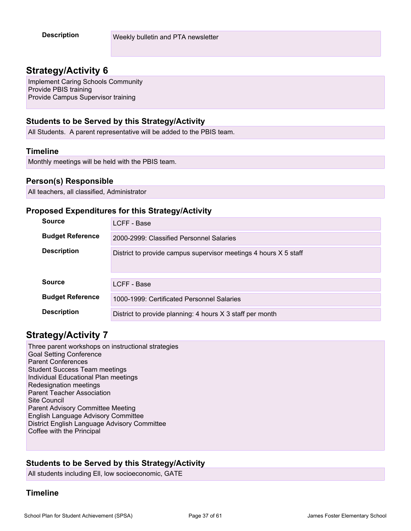### **Strategy/Activity 6**

Implement Caring Schools Community Provide PBIS training Provide Campus Supervisor training

#### **Students to be Served by this Strategy/Activity**

All Students. A parent representative will be added to the PBIS team.

#### **Timeline**

Monthly meetings will be held with the PBIS team.

#### **Person(s) Responsible**

All teachers, all classified, Administrator

#### **Proposed Expenditures for this Strategy/Activity**

| <b>Source</b>           | LCFF - Base                                                      |  |  |  |  |
|-------------------------|------------------------------------------------------------------|--|--|--|--|
| <b>Budget Reference</b> | 2000-2999: Classified Personnel Salaries                         |  |  |  |  |
| <b>Description</b>      | District to provide campus supervisor meetings 4 hours X 5 staff |  |  |  |  |
| <b>Source</b>           | LCFF - Base                                                      |  |  |  |  |
| <b>Budget Reference</b> | 1000-1999: Certificated Personnel Salaries                       |  |  |  |  |
| <b>Description</b>      | District to provide planning: 4 hours X 3 staff per month        |  |  |  |  |

### **Strategy/Activity 7**

Three parent workshops on instructional strategies Goal Setting Conference Parent Conferences Student Success Team meetings Individual Educational Plan meetings Redesignation meetings Parent Teacher Association Site Council Parent Advisory Committee Meeting English Language Advisory Committee District English Language Advisory Committee Coffee with the Principal

#### **Students to be Served by this Strategy/Activity**

All students including Ell, low socioeconomic, GATE

#### **Timeline**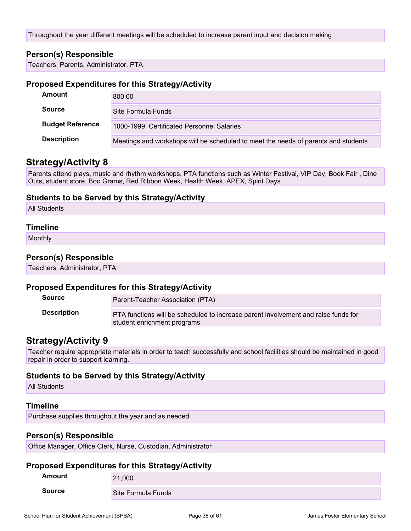Throughout the year different meetings will be scheduled to increase parent input and decision making

#### **Person(s) Responsible**

Teachers, Parents, Administrator, PTA

#### **Proposed Expenditures for this Strategy/Activity**

| Amount                  | 800.00                                                                              |  |  |  |
|-------------------------|-------------------------------------------------------------------------------------|--|--|--|
| <b>Source</b>           | Site Formula Funds                                                                  |  |  |  |
| <b>Budget Reference</b> | 1000-1999: Certificated Personnel Salaries                                          |  |  |  |
| <b>Description</b>      | Meetings and workshops will be scheduled to meet the needs of parents and students. |  |  |  |

### **Strategy/Activity 8**

Parents attend plays, music and rhythm workshops, PTA functions such as Winter Festival, VIP Day, Book Fair , Dine Outs, student store, Boo Grams, Red Ribbon Week, Health Week, APEX, Spirit Days

#### **Students to be Served by this Strategy/Activity**

All Students

#### **Timeline**

Monthly

#### **Person(s) Responsible**

Teachers, Administrator, PTA

#### **Proposed Expenditures for this Strategy/Activity**

| <b>Source</b>      | Parent-Teacher Association (PTA)                                                                                  |
|--------------------|-------------------------------------------------------------------------------------------------------------------|
| <b>Description</b> | PTA functions will be scheduled to increase parent involvement and raise funds for<br>student enrichment programs |

### **Strategy/Activity 9**

Teacher require appropriate materials in order to teach successfully and school facilities should be maintained in good repair in order to support learning.

#### **Students to be Served by this Strategy/Activity**

All Students

#### **Timeline**

Purchase supplies throughout the year and as needed

#### **Person(s) Responsible**

Office Manager, Office Clerk, Nurse, Custodian, Administrator

#### **Proposed Expenditures for this Strategy/Activity**

| __<br>Amount  | ___<br>21,000      |
|---------------|--------------------|
| <b>Source</b> | Site Formula Funds |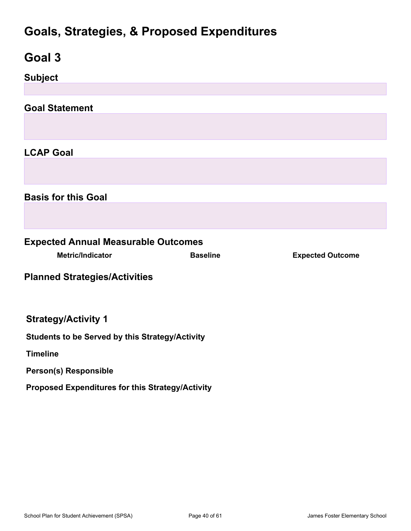## **Goals, Strategies, & Proposed Expenditures**

<span id="page-39-0"></span>

| Goal 3                                                 |                 |                         |  |
|--------------------------------------------------------|-----------------|-------------------------|--|
| <b>Subject</b>                                         |                 |                         |  |
|                                                        |                 |                         |  |
| <b>Goal Statement</b>                                  |                 |                         |  |
|                                                        |                 |                         |  |
| <b>LCAP Goal</b>                                       |                 |                         |  |
|                                                        |                 |                         |  |
| <b>Basis for this Goal</b>                             |                 |                         |  |
|                                                        |                 |                         |  |
| <b>Expected Annual Measurable Outcomes</b>             |                 |                         |  |
| <b>Metric/Indicator</b>                                | <b>Baseline</b> | <b>Expected Outcome</b> |  |
| <b>Planned Strategies/Activities</b>                   |                 |                         |  |
| <b>Strategy/Activity 1</b>                             |                 |                         |  |
| <b>Students to be Served by this Strategy/Activity</b> |                 |                         |  |
| <b>Timeline</b>                                        |                 |                         |  |
| Person(s) Responsible                                  |                 |                         |  |
| Proposed Expenditures for this Strategy/Activity       |                 |                         |  |
|                                                        |                 |                         |  |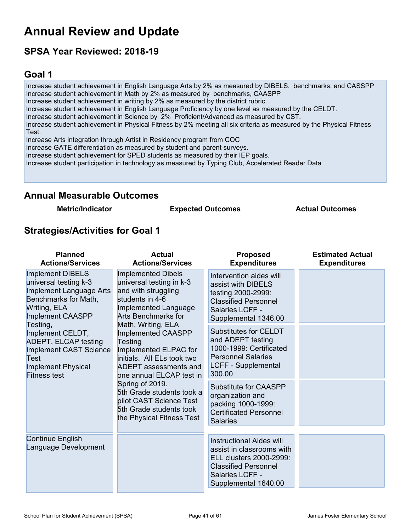## <span id="page-40-0"></span>**Annual Review and Update**

## **SPSA Year Reviewed: 2018-19**

## <span id="page-40-1"></span>**Goal 1**

Increase student achievement in English Language Arts by 2% as measured by DIBELS, benchmarks, and CASSPP Increase student achievement in Math by 2% as measured by benchmarks, CAASPP Increase student achievement in writing by 2% as measured by the district rubric. Increase student achievement in English Language Proficiency by one level as measured by the CELDT. Increase student achievement in Science by 2% Proficient/Advanced as measured by CST. Increase student achievement in Physical Fitness by 2% meeting all six criteria as measured by the Physical Fitness Test. Increase Arts integration through Artist in Residency program from COC Increase GATE differentiation as measured by student and parent surveys. Increase student achievement for SPED students as measured by their IEP goals. Increase student participation in technology as measured by Typing Club, Accelerated Reader Data

### **Annual Measurable Outcomes**

**Metric/Indicator Expected Outcomes Actual Outcomes**

### **Strategies/Activities for Goal 1**

| <b>Planned</b><br><b>Actions/Services</b>                                                                                                                                                                                                                                                           | <b>Actual</b><br><b>Actions/Services</b>                                                                                                                                                                                                                                                                                                                                                                                                                           | <b>Proposed</b><br><b>Expenditures</b>                                                                                                                            | <b>Estimated Actual</b><br><b>Expenditures</b> |
|-----------------------------------------------------------------------------------------------------------------------------------------------------------------------------------------------------------------------------------------------------------------------------------------------------|--------------------------------------------------------------------------------------------------------------------------------------------------------------------------------------------------------------------------------------------------------------------------------------------------------------------------------------------------------------------------------------------------------------------------------------------------------------------|-------------------------------------------------------------------------------------------------------------------------------------------------------------------|------------------------------------------------|
| <b>Implement DIBELS</b><br>universal testing k-3<br>Implement Language Arts<br>Benchmarks for Math,<br>Writing, ELA<br><b>Implement CAASPP</b><br>Testing,<br>Implement CELDT,<br>ADEPT, ELCAP testing<br><b>Implement CAST Science</b><br>Test<br><b>Implement Physical</b><br><b>Fitness test</b> | <b>Implemented Dibels</b><br>universal testing in k-3<br>and with struggling<br>students in 4-6<br>Implemented Language<br><b>Arts Benchmarks for</b><br>Math, Writing, ELA<br>Implemented CAASPP<br>Testing<br>Implemented ELPAC for<br>initials. All ELs took two<br><b>ADEPT</b> assessments and<br>one annual ELCAP test in<br>Spring of 2019.<br>5th Grade students took a<br>pilot CAST Science Test<br>5th Grade students took<br>the Physical Fitness Test | Intervention aides will<br>assist with DIBELS<br>testing 2000-2999:<br><b>Classified Personnel</b><br>Salaries LCFF -<br>Supplemental 1346.00                     |                                                |
|                                                                                                                                                                                                                                                                                                     |                                                                                                                                                                                                                                                                                                                                                                                                                                                                    | <b>Substitutes for CELDT</b><br>and ADEPT testing<br>1000-1999: Certificated<br><b>Personnel Salaries</b><br>LCFF - Supplemental<br>300.00                        |                                                |
|                                                                                                                                                                                                                                                                                                     |                                                                                                                                                                                                                                                                                                                                                                                                                                                                    | <b>Substitute for CAASPP</b><br>organization and<br>packing 1000-1999:<br><b>Certificated Personnel</b><br><b>Salaries</b>                                        |                                                |
| <b>Continue English</b><br>Language Development                                                                                                                                                                                                                                                     |                                                                                                                                                                                                                                                                                                                                                                                                                                                                    | <b>Instructional Aides will</b><br>assist in classrooms with<br>ELL clusters 2000-2999:<br><b>Classified Personnel</b><br>Salaries LCFF -<br>Supplemental 1640.00 |                                                |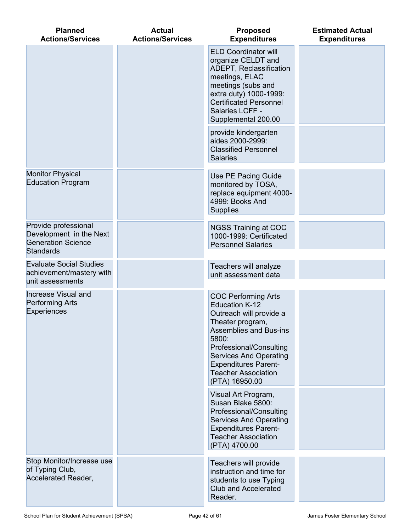| <b>Planned</b><br><b>Actions/Services</b>                                                        | <b>Actual</b><br><b>Actions/Services</b> | <b>Proposed</b><br><b>Expenditures</b>                                                                                                                                                                                                                                           | <b>Estimated Actual</b><br><b>Expenditures</b> |
|--------------------------------------------------------------------------------------------------|------------------------------------------|----------------------------------------------------------------------------------------------------------------------------------------------------------------------------------------------------------------------------------------------------------------------------------|------------------------------------------------|
|                                                                                                  |                                          | <b>ELD Coordinator will</b><br>organize CELDT and<br>ADEPT, Reclassification<br>meetings, ELAC<br>meetings (subs and<br>extra duty) 1000-1999:<br><b>Certificated Personnel</b><br>Salaries LCFF -<br>Supplemental 200.00                                                        |                                                |
|                                                                                                  |                                          | provide kindergarten<br>aides 2000-2999:<br><b>Classified Personnel</b><br><b>Salaries</b>                                                                                                                                                                                       |                                                |
| <b>Monitor Physical</b><br><b>Education Program</b>                                              |                                          | Use PE Pacing Guide<br>monitored by TOSA,<br>replace equipment 4000-<br>4999: Books And<br><b>Supplies</b>                                                                                                                                                                       |                                                |
| Provide professional<br>Development in the Next<br><b>Generation Science</b><br><b>Standards</b> |                                          | <b>NGSS Training at COC</b><br>1000-1999: Certificated<br><b>Personnel Salaries</b>                                                                                                                                                                                              |                                                |
| <b>Evaluate Social Studies</b><br>achievement/mastery with<br>unit assessments                   |                                          | Teachers will analyze<br>unit assessment data                                                                                                                                                                                                                                    |                                                |
| <b>Increase Visual and</b><br><b>Performing Arts</b><br><b>Experiences</b>                       |                                          | <b>COC Performing Arts</b><br><b>Education K-12</b><br>Outreach will provide a<br>Theater program,<br>Assemblies and Bus-ins<br>5800:<br>Professional/Consulting<br><b>Services And Operating</b><br><b>Expenditures Parent-</b><br><b>Teacher Association</b><br>(PTA) 16950.00 |                                                |
|                                                                                                  |                                          | Visual Art Program,<br>Susan Blake 5800:<br>Professional/Consulting<br><b>Services And Operating</b><br><b>Expenditures Parent-</b><br><b>Teacher Association</b><br>(PTA) 4700.00                                                                                               |                                                |
| Stop Monitor/Increase use<br>of Typing Club,<br>Accelerated Reader,                              |                                          | Teachers will provide<br>instruction and time for<br>students to use Typing<br><b>Club and Accelerated</b><br>Reader.                                                                                                                                                            |                                                |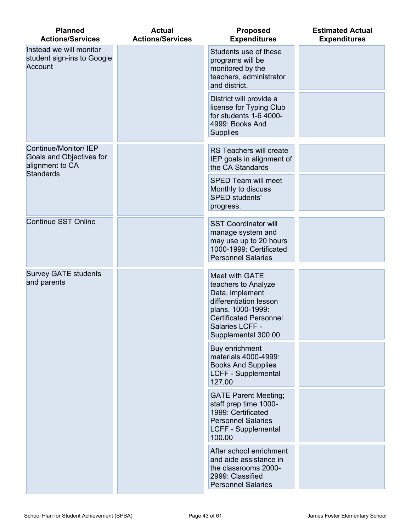| <b>Planned</b><br><b>Actions/Services</b>                                                | <b>Actual</b><br><b>Actions/Services</b>                                                                                                        | <b>Proposed</b><br><b>Expenditures</b>                                                                                                                                             | <b>Estimated Actual</b><br><b>Expenditures</b> |
|------------------------------------------------------------------------------------------|-------------------------------------------------------------------------------------------------------------------------------------------------|------------------------------------------------------------------------------------------------------------------------------------------------------------------------------------|------------------------------------------------|
| Instead we will monitor<br>student sign-ins to Google<br>Account                         |                                                                                                                                                 | Students use of these<br>programs will be<br>monitored by the<br>teachers, administrator<br>and district.                                                                          |                                                |
|                                                                                          |                                                                                                                                                 | District will provide a<br>license for Typing Club<br>for students 1-6 4000-<br>4999: Books And<br><b>Supplies</b>                                                                 |                                                |
| Continue/Monitor/ IEP<br>Goals and Objectives for<br>alignment to CA<br><b>Standards</b> |                                                                                                                                                 | RS Teachers will create<br>IEP goals in alignment of<br>the CA Standards                                                                                                           |                                                |
|                                                                                          |                                                                                                                                                 | <b>SPED Team will meet</b><br>Monthly to discuss<br><b>SPED students'</b><br>progress.                                                                                             |                                                |
| <b>Continue SST Online</b>                                                               |                                                                                                                                                 | <b>SST Coordinator will</b><br>manage system and<br>may use up to 20 hours<br>1000-1999: Certificated<br><b>Personnel Salaries</b>                                                 |                                                |
| <b>Survey GATE students</b><br>and parents                                               |                                                                                                                                                 | Meet with GATE<br>teachers to Analyze<br>Data, implement<br>differentiation lesson<br>plans. 1000-1999:<br><b>Certificated Personnel</b><br>Salaries LCFF -<br>Supplemental 300.00 |                                                |
|                                                                                          |                                                                                                                                                 | Buy enrichment<br>materials 4000-4999:<br><b>Books And Supplies</b><br>LCFF - Supplemental<br>127.00                                                                               |                                                |
|                                                                                          | <b>GATE Parent Meeting;</b><br>staff prep time 1000-<br>1999: Certificated<br><b>Personnel Salaries</b><br><b>LCFF - Supplemental</b><br>100.00 |                                                                                                                                                                                    |                                                |
|                                                                                          |                                                                                                                                                 | After school enrichment<br>and aide assistance in<br>the classrooms 2000-<br>2999: Classified<br><b>Personnel Salaries</b>                                                         |                                                |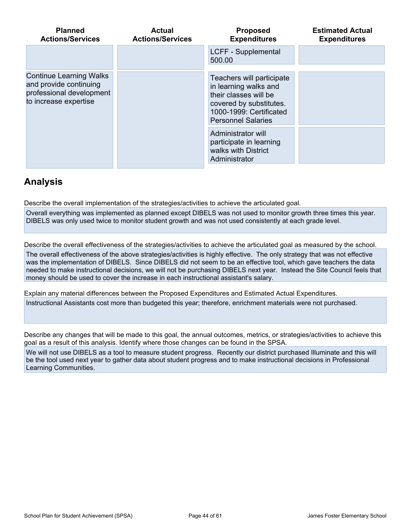| <b>Planned</b><br><b>Actions/Services</b>                                                                     | Actual<br><b>Actions/Services</b>                                                                                                                              | <b>Proposed</b><br><b>Expenditures</b> | <b>Estimated Actual</b><br><b>Expenditures</b> |
|---------------------------------------------------------------------------------------------------------------|----------------------------------------------------------------------------------------------------------------------------------------------------------------|----------------------------------------|------------------------------------------------|
|                                                                                                               |                                                                                                                                                                | LCFF - Supplemental<br>500.00          |                                                |
| <b>Continue Learning Walks</b><br>and provide continuing<br>professional development<br>to increase expertise | Teachers will participate<br>in learning walks and<br>their classes will be<br>covered by substitutes.<br>1000-1999: Certificated<br><b>Personnel Salaries</b> |                                        |                                                |
|                                                                                                               |                                                                                                                                                                |                                        |                                                |

## **Analysis**

Describe the overall implementation of the strategies/activities to achieve the articulated goal.

Overall everything was implemented as planned except DIBELS was not used to monitor growth three times this year. DIBELS was only used twice to monitor student growth and was not used consistently at each grade level.

Describe the overall effectiveness of the strategies/activities to achieve the articulated goal as measured by the school.

The overall effectiveness of the above strategies/activities is highly effective. The only strategy that was not effective was the implementation of DIBELS. Since DIBELS did not seem to be an effective tool, which gave teachers the data needed to make instructional decisions, we will not be purchasing DIBELS next year. Instead the Site Council feels that money should be used to cover the increase in each instructional assistant's salary.

Explain any material differences between the Proposed Expenditures and Estimated Actual Expenditures.

Instructional Assistants cost more than budgeted this year; therefore, enrichment materials were not purchased.

Describe any changes that will be made to this goal, the annual outcomes, metrics, or strategies/activities to achieve this goal as a result of this analysis. Identify where those changes can be found in the SPSA.

We will not use DIBELS as a tool to measure student progress. Recently our district purchased Illuminate and this will be the tool used next year to gather data about student progress and to make instructional decisions in Professional Learning Communities.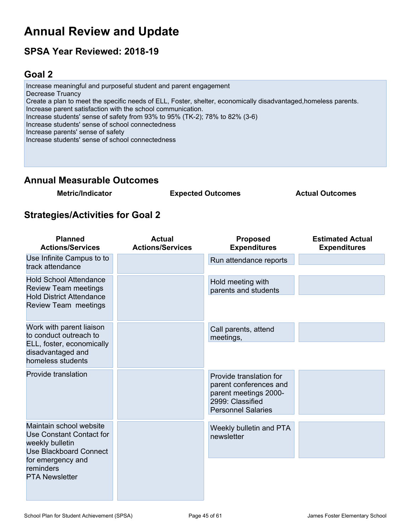## **Annual Review and Update**

## **SPSA Year Reviewed: 2018-19**

## <span id="page-44-0"></span>**Goal 2**

Increase meaningful and purposeful student and parent engagement Decrease Truancy Create a plan to meet the specific needs of ELL, Foster, shelter, economically disadvantaged,homeless parents. Increase parent satisfaction with the school communication. Increase students' sense of safety from 93% to 95% (TK-2); 78% to 82% (3-6) Increase students' sense of school connectedness Increase parents' sense of safety Increase students' sense of school connectedness

## **Annual Measurable Outcomes**

**Metric/Indicator Expected Outcomes Actual Outcomes**

## **Strategies/Activities for Goal 2**

| <b>Planned</b><br><b>Actions/Services</b>                                                                                                                          | <b>Actual</b><br><b>Actions/Services</b> | <b>Proposed</b><br><b>Expenditures</b>                                                                                      | <b>Estimated Actual</b><br><b>Expenditures</b> |
|--------------------------------------------------------------------------------------------------------------------------------------------------------------------|------------------------------------------|-----------------------------------------------------------------------------------------------------------------------------|------------------------------------------------|
| Use Infinite Campus to to<br>track attendance                                                                                                                      |                                          | Run attendance reports                                                                                                      |                                                |
| <b>Hold School Attendance</b><br><b>Review Team meetings</b><br><b>Hold District Attendance</b><br>Review Team meetings                                            |                                          | Hold meeting with<br>parents and students                                                                                   |                                                |
| Work with parent liaison<br>to conduct outreach to<br>ELL, foster, economically<br>disadvantaged and<br>homeless students                                          |                                          | Call parents, attend<br>meetings,                                                                                           |                                                |
| Provide translation                                                                                                                                                |                                          | Provide translation for<br>parent conferences and<br>parent meetings 2000-<br>2999: Classified<br><b>Personnel Salaries</b> |                                                |
| Maintain school website<br>Use Constant Contact for<br>weekly bulletin<br><b>Use Blackboard Connect</b><br>for emergency and<br>reminders<br><b>PTA Newsletter</b> |                                          | Weekly bulletin and PTA<br>newsletter                                                                                       |                                                |
|                                                                                                                                                                    |                                          |                                                                                                                             |                                                |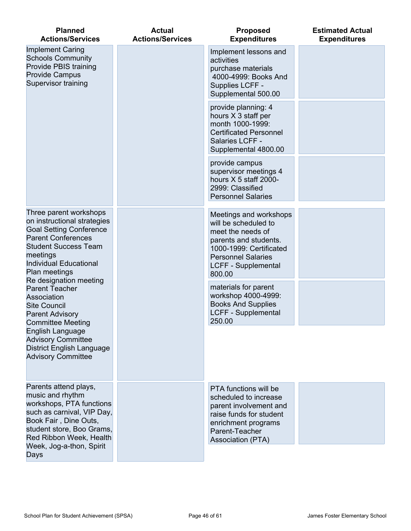| <b>Planned</b><br><b>Actions/Services</b>                                                                                                                                                                                                                                                                                                                 | <b>Actual</b><br><b>Actions/Services</b>                                                                         | <b>Proposed</b><br><b>Expenditures</b>                                                                                                                                                       | <b>Estimated Actual</b><br><b>Expenditures</b> |
|-----------------------------------------------------------------------------------------------------------------------------------------------------------------------------------------------------------------------------------------------------------------------------------------------------------------------------------------------------------|------------------------------------------------------------------------------------------------------------------|----------------------------------------------------------------------------------------------------------------------------------------------------------------------------------------------|------------------------------------------------|
| <b>Implement Caring</b><br><b>Schools Community</b><br>Provide PBIS training<br><b>Provide Campus</b><br>Supervisor training                                                                                                                                                                                                                              |                                                                                                                  | Implement lessons and<br>activities<br>purchase materials<br>4000-4999: Books And<br>Supplies LCFF -<br>Supplemental 500.00                                                                  |                                                |
|                                                                                                                                                                                                                                                                                                                                                           |                                                                                                                  | provide planning: 4<br>hours X 3 staff per<br>month 1000-1999:<br><b>Certificated Personnel</b><br>Salaries LCFF -<br>Supplemental 4800.00                                                   |                                                |
|                                                                                                                                                                                                                                                                                                                                                           |                                                                                                                  | provide campus<br>supervisor meetings 4<br>hours X 5 staff 2000-<br>2999: Classified<br><b>Personnel Salaries</b>                                                                            |                                                |
| Three parent workshops<br>on instructional strategies<br><b>Goal Setting Conference</b><br><b>Parent Conferences</b><br><b>Student Success Team</b><br>meetings<br><b>Individual Educational</b><br>Plan meetings<br>Re designation meeting<br><b>Parent Teacher</b><br>Association<br><b>Site Council</b><br><b>Parent Advisory</b><br>Committee Meeting |                                                                                                                  | Meetings and workshops<br>will be scheduled to<br>meet the needs of<br>parents and students.<br>1000-1999: Certificated<br><b>Personnel Salaries</b><br><b>LCFF - Supplemental</b><br>800.00 |                                                |
|                                                                                                                                                                                                                                                                                                                                                           | materials for parent<br>workshop 4000-4999:<br><b>Books And Supplies</b><br><b>LCFF - Supplemental</b><br>250.00 |                                                                                                                                                                                              |                                                |
| English Language<br><b>Advisory Committee</b><br><b>District English Language</b><br><b>Advisory Committee</b>                                                                                                                                                                                                                                            |                                                                                                                  |                                                                                                                                                                                              |                                                |
| Parents attend plays,<br>music and rhythm<br>workshops, PTA functions<br>such as carnival, VIP Day,<br>Book Fair, Dine Outs,<br>student store, Boo Grams,<br>Red Ribbon Week, Health<br>Week, Jog-a-thon, Spirit<br>Days                                                                                                                                  |                                                                                                                  | PTA functions will be<br>scheduled to increase<br>parent involvement and<br>raise funds for student<br>enrichment programs<br>Parent-Teacher<br><b>Association (PTA)</b>                     |                                                |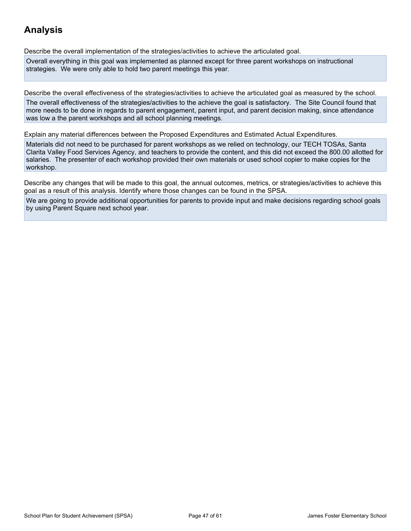## **Analysis**

Describe the overall implementation of the strategies/activities to achieve the articulated goal.

Overall everything in this goal was implemented as planned except for three parent workshops on instructional strategies. We were only able to hold two parent meetings this year.

Describe the overall effectiveness of the strategies/activities to achieve the articulated goal as measured by the school.

The overall effectiveness of the strategies/activities to the achieve the goal is satisfactory. The Site Council found that more needs to be done in regards to parent engagement, parent input, and parent decision making, since attendance was low a the parent workshops and all school planning meetings.

Explain any material differences between the Proposed Expenditures and Estimated Actual Expenditures.

Materials did not need to be purchased for parent workshops as we relied on technology, our TECH TOSAs, Santa Clarita Valley Food Services Agency, and teachers to provide the content, and this did not exceed the 800.00 allotted for salaries. The presenter of each workshop provided their own materials or used school copier to make copies for the workshop.

Describe any changes that will be made to this goal, the annual outcomes, metrics, or strategies/activities to achieve this goal as a result of this analysis. Identify where those changes can be found in the SPSA.

We are going to provide additional opportunities for parents to provide input and make decisions regarding school goals by using Parent Square next school year.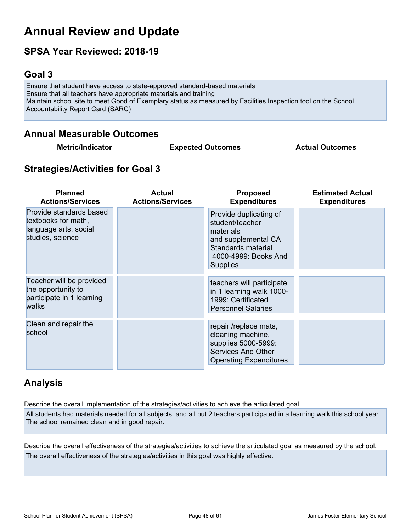## **Annual Review and Update**

## **SPSA Year Reviewed: 2018-19**

## <span id="page-47-0"></span>**Goal 3**

Ensure that student have access to state-approved standard-based materials Ensure that all teachers have appropriate materials and training Maintain school site to meet Good of Exemplary status as measured by Facilities Inspection tool on the School Accountability Report Card (SARC)

### **Annual Measurable Outcomes**

**Metric/Indicator Expected Outcomes Actual Outcomes**

## **Strategies/Activities for Goal 3**

| <b>Planned</b><br><b>Actions/Services</b>                                                   | <b>Actual</b><br><b>Actions/Services</b> | <b>Proposed</b><br><b>Expenditures</b>                                                                                                         | <b>Estimated Actual</b><br><b>Expenditures</b> |
|---------------------------------------------------------------------------------------------|------------------------------------------|------------------------------------------------------------------------------------------------------------------------------------------------|------------------------------------------------|
| Provide standards based<br>textbooks for math,<br>language arts, social<br>studies, science |                                          | Provide duplicating of<br>student/teacher<br>materials<br>and supplemental CA<br>Standards material<br>4000-4999: Books And<br><b>Supplies</b> |                                                |
| Teacher will be provided<br>the opportunity to<br>participate in 1 learning<br>walks        |                                          | teachers will participate<br>in 1 learning walk 1000-<br>1999: Certificated<br><b>Personnel Salaries</b>                                       |                                                |
| Clean and repair the<br>school                                                              |                                          | repair /replace mats,<br>cleaning machine,<br>supplies 5000-5999:<br><b>Services And Other</b><br><b>Operating Expenditures</b>                |                                                |

## **Analysis**

Describe the overall implementation of the strategies/activities to achieve the articulated goal. All students had materials needed for all subjects, and all but 2 teachers participated in a learning walk this school year. The school remained clean and in good repair.

Describe the overall effectiveness of the strategies/activities to achieve the articulated goal as measured by the school. The overall effectiveness of the strategies/activities in this goal was highly effective.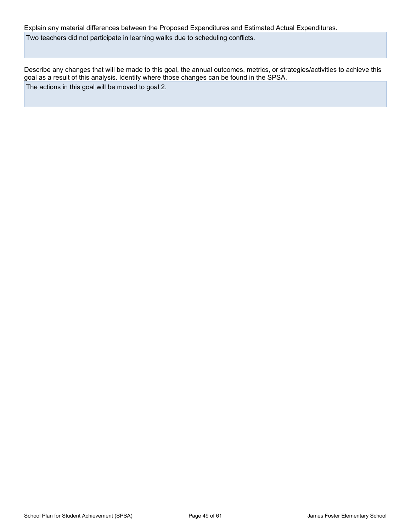Explain any material differences between the Proposed Expenditures and Estimated Actual Expenditures. Two teachers did not participate in learning walks due to scheduling conflicts.

Describe any changes that will be made to this goal, the annual outcomes, metrics, or strategies/activities to achieve this goal as a result of this analysis. Identify where those changes can be found in the SPSA. The actions in this goal will be moved to goal 2.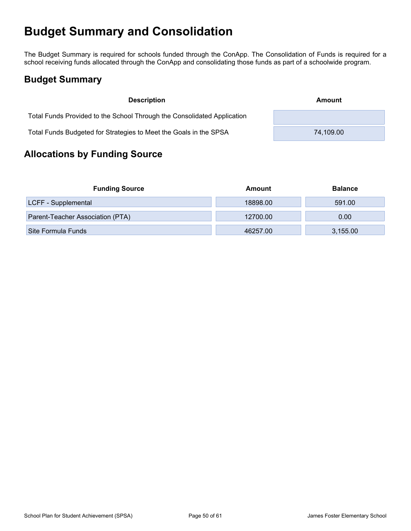## <span id="page-49-0"></span>**Budget Summary and Consolidation**

The Budget Summary is required for schools funded through the ConApp. The Consolidation of Funds is required for a school receiving funds allocated through the ConApp and consolidating those funds as part of a schoolwide program.

## <span id="page-49-1"></span>**Budget Summary**

| <b>Description</b>                                                      | Amount    |
|-------------------------------------------------------------------------|-----------|
| Total Funds Provided to the School Through the Consolidated Application |           |
| Total Funds Budgeted for Strategies to Meet the Goals in the SPSA       | 74.109.00 |

## <span id="page-49-2"></span>**Allocations by Funding Source**

| <b>Funding Source</b>            | Amount   | <b>Balance</b> |
|----------------------------------|----------|----------------|
| LCFF - Supplemental              | 18898.00 | 591.00         |
| Parent-Teacher Association (PTA) | 12700.00 | 0.00           |
| Site Formula Funds               | 46257.00 | 3,155.00       |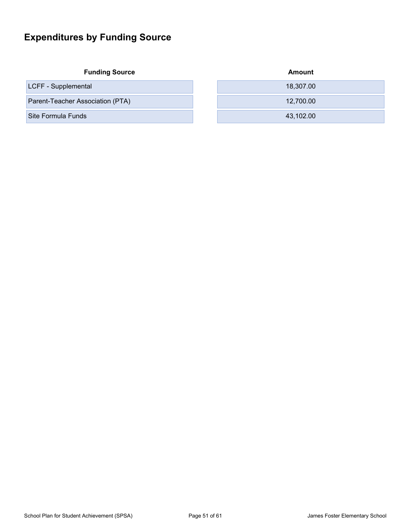## <span id="page-50-0"></span>**Expenditures by Funding Source**

| <b>Funding Source</b>            | Amount    |
|----------------------------------|-----------|
| LCFF - Supplemental              | 18,307.00 |
| Parent-Teacher Association (PTA) | 12,700.00 |
| Site Formula Funds               | 43,102.00 |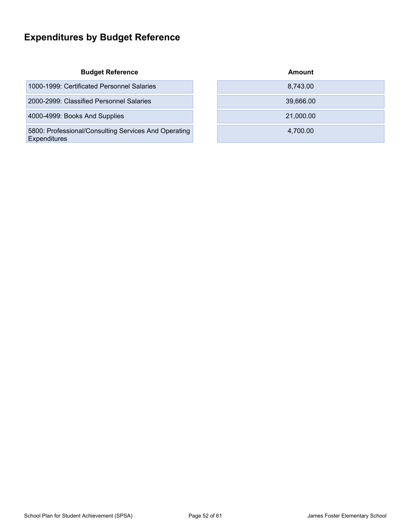## <span id="page-51-0"></span>**Expenditures by Budget Reference**

| 1000-1999: Certificated Personnel Salaries |  | 8.743.00 |
|--------------------------------------------|--|----------|
|--------------------------------------------|--|----------|

2000-2999: Classified Personnel Salaries

4000-4999: Books And Supplies

5800: Professional/Consulting Services And Operating **Expenditures** 

| <b>Budget Reference</b>              | Amount    |
|--------------------------------------|-----------|
| icated Personnel Salaries            | 8,743.00  |
| ified Personnel Salaries             | 39,666.00 |
| s And Supplies                       | 21,000.00 |
| al/Consulting Services And Operating | 4,700.00  |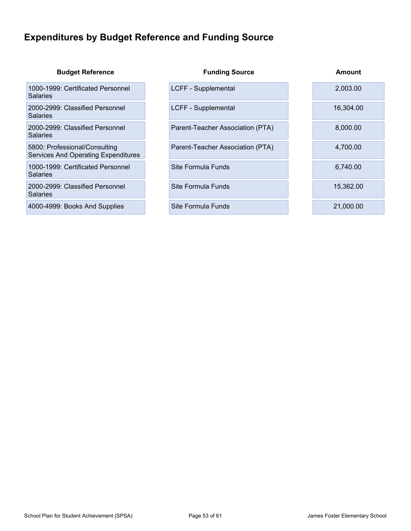## <span id="page-52-0"></span>**Expenditures by Budget Reference and Funding Source**

| <b>Budget Reference</b>                                                     | <b>Funding Source</b>            | <b>Amount</b> |
|-----------------------------------------------------------------------------|----------------------------------|---------------|
| 1000-1999: Certificated Personnel<br>Salaries                               | LCFF - Supplemental              | 2,003.00      |
| 2000-2999: Classified Personnel<br>Salaries                                 | LCFF - Supplemental              | 16,304.00     |
| 2000-2999: Classified Personnel<br>Salaries                                 | Parent-Teacher Association (PTA) | 8,000.00      |
| 5800: Professional/Consulting<br><b>Services And Operating Expenditures</b> | Parent-Teacher Association (PTA) | 4,700.00      |
| 1000-1999: Certificated Personnel<br>Salaries                               | Site Formula Funds               | 6,740.00      |
| 2000-2999: Classified Personnel<br>Salaries                                 | Site Formula Funds               | 15,362.00     |
| 4000-4999: Books And Supplies                                               | Site Formula Funds               | 21,000.00     |
|                                                                             |                                  |               |

T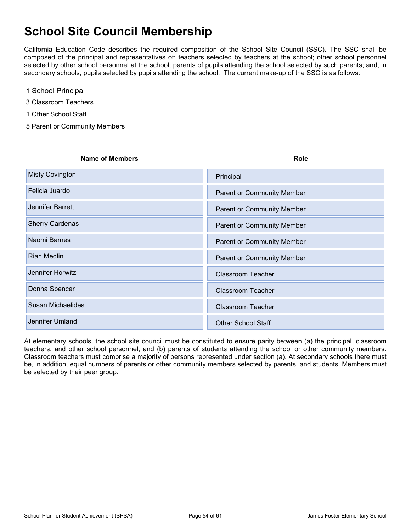## <span id="page-53-0"></span>**School Site Council Membership**

California Education Code describes the required composition of the School Site Council (SSC). The SSC shall be composed of the principal and representatives of: teachers selected by teachers at the school; other school personnel selected by other school personnel at the school; parents of pupils attending the school selected by such parents; and, in secondary schools, pupils selected by pupils attending the school. The current make-up of the SSC is as follows:

- 1 School Principal
- 3 Classroom Teachers
- 1 Other School Staff
- 5 Parent or Community Members

| <b>Name of Members</b>   | <b>Role</b>                       |
|--------------------------|-----------------------------------|
| <b>Misty Covington</b>   | Principal                         |
| Felicia Juardo           | <b>Parent or Community Member</b> |
| Jennifer Barrett         | <b>Parent or Community Member</b> |
| <b>Sherry Cardenas</b>   | <b>Parent or Community Member</b> |
| Naomi Barnes             | <b>Parent or Community Member</b> |
| Rian Medlin              | <b>Parent or Community Member</b> |
| Jennifer Horwitz         | <b>Classroom Teacher</b>          |
| Donna Spencer            | <b>Classroom Teacher</b>          |
| <b>Susan Michaelides</b> | <b>Classroom Teacher</b>          |
| Jennifer Umland          | <b>Other School Staff</b>         |

At elementary schools, the school site council must be constituted to ensure parity between (a) the principal, classroom teachers, and other school personnel, and (b) parents of students attending the school or other community members. Classroom teachers must comprise a majority of persons represented under section (a). At secondary schools there must be, in addition, equal numbers of parents or other community members selected by parents, and students. Members must be selected by their peer group.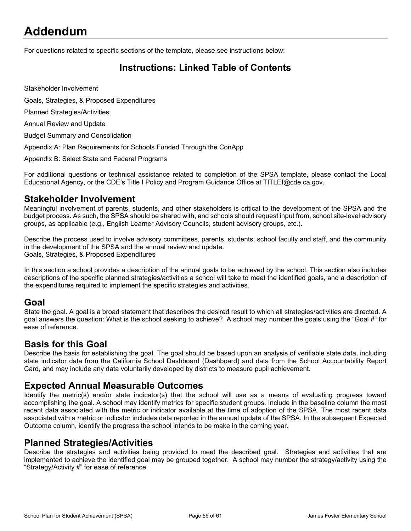## <span id="page-54-0"></span>**Addendum**

For questions related to specific sections of the template, please see instructions below:

## <span id="page-54-1"></span>**Instructions: Linked Table of Contents**

Stakeholder Involvement

Goals, Strategies, & Proposed Expenditures

Planned Strategies/Activities

Annual Review and Update

Budget Summary and Consolidation

Appendix A: Plan Requirements for Schools Funded Through the ConApp

Appendix B: Select State and Federal Programs

For additional questions or technical assistance related to completion of the SPSA template, please contact the Local Educational Agency, or the CDE's Title I Policy and Program Guidance Office at TITLEI@cde.ca.gov.

#### **Stakeholder Involvement**

Meaningful involvement of parents, students, and other stakeholders is critical to the development of the SPSA and the budget process. As such, the SPSA should be shared with, and schools should request input from, school site-level advisory groups, as applicable (e.g., English Learner Advisory Councils, student advisory groups, etc.).

Describe the process used to involve advisory committees, parents, students, school faculty and staff, and the community in the development of the SPSA and the annual review and update. Goals, Strategies, & Proposed Expenditures

In this section a school provides a description of the annual goals to be achieved by the school. This section also includes descriptions of the specific planned strategies/activities a school will take to meet the identified goals, and a description of the expenditures required to implement the specific strategies and activities.

#### **Goal**

State the goal. A goal is a broad statement that describes the desired result to which all strategies/activities are directed. A goal answers the question: What is the school seeking to achieve? A school may number the goals using the "Goal #" for ease of reference.

### **Basis for this Goal**

Describe the basis for establishing the goal. The goal should be based upon an analysis of verifiable state data, including state indicator data from the California School Dashboard (Dashboard) and data from the School Accountability Report Card, and may include any data voluntarily developed by districts to measure pupil achievement.

### **Expected Annual Measurable Outcomes**

Identify the metric(s) and/or state indicator(s) that the school will use as a means of evaluating progress toward accomplishing the goal. A school may identify metrics for specific student groups. Include in the baseline column the most recent data associated with the metric or indicator available at the time of adoption of the SPSA. The most recent data associated with a metric or indicator includes data reported in the annual update of the SPSA. In the subsequent Expected Outcome column, identify the progress the school intends to be make in the coming year.

### **Planned Strategies/Activities**

Describe the strategies and activities being provided to meet the described goal. Strategies and activities that are implemented to achieve the identified goal may be grouped together. A school may number the strategy/activity using the "Strategy/Activity #" for ease of reference.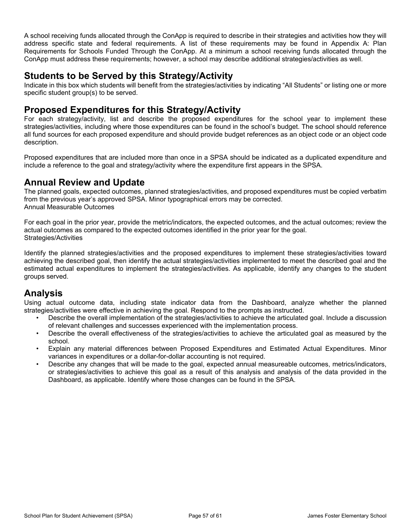A school receiving funds allocated through the ConApp is required to describe in their strategies and activities how they will address specific state and federal requirements. A list of these requirements may be found in Appendix A: Plan Requirements for Schools Funded Through the ConApp. At a minimum a school receiving funds allocated through the ConApp must address these requirements; however, a school may describe additional strategies/activities as well.

### **Students to be Served by this Strategy/Activity**

Indicate in this box which students will benefit from the strategies/activities by indicating "All Students" or listing one or more specific student group(s) to be served.

### **Proposed Expenditures for this Strategy/Activity**

For each strategy/activity, list and describe the proposed expenditures for the school year to implement these strategies/activities, including where those expenditures can be found in the school's budget. The school should reference all fund sources for each proposed expenditure and should provide budget references as an object code or an object code description.

Proposed expenditures that are included more than once in a SPSA should be indicated as a duplicated expenditure and include a reference to the goal and strategy/activity where the expenditure first appears in the SPSA.

### **Annual Review and Update**

The planned goals, expected outcomes, planned strategies/activities, and proposed expenditures must be copied verbatim from the previous year's approved SPSA. Minor typographical errors may be corrected. Annual Measurable Outcomes

For each goal in the prior year, provide the metric/indicators, the expected outcomes, and the actual outcomes; review the actual outcomes as compared to the expected outcomes identified in the prior year for the goal. Strategies/Activities

Identify the planned strategies/activities and the proposed expenditures to implement these strategies/activities toward achieving the described goal, then identify the actual strategies/activities implemented to meet the described goal and the estimated actual expenditures to implement the strategies/activities. As applicable, identify any changes to the student groups served.

## **Analysis**

Using actual outcome data, including state indicator data from the Dashboard, analyze whether the planned strategies/activities were effective in achieving the goal. Respond to the prompts as instructed.

- Describe the overall implementation of the strategies/activities to achieve the articulated goal. Include a discussion of relevant challenges and successes experienced with the implementation process.
- Describe the overall effectiveness of the strategies/activities to achieve the articulated goal as measured by the school.
- Explain any material differences between Proposed Expenditures and Estimated Actual Expenditures. Minor variances in expenditures or a dollar-for-dollar accounting is not required.
- Describe any changes that will be made to the goal, expected annual measureable outcomes, metrics/indicators, or strategies/activities to achieve this goal as a result of this analysis and analysis of the data provided in the Dashboard, as applicable. Identify where those changes can be found in the SPSA.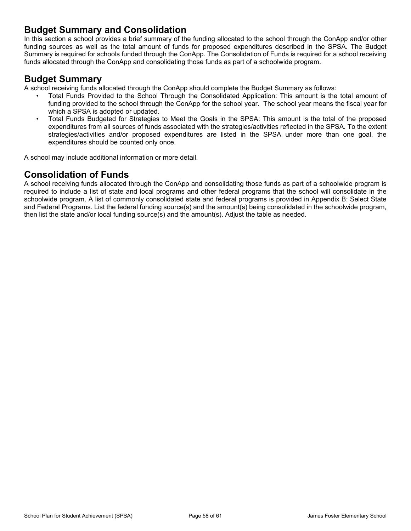### **Budget Summary and Consolidation**

In this section a school provides a brief summary of the funding allocated to the school through the ConApp and/or other funding sources as well as the total amount of funds for proposed expenditures described in the SPSA. The Budget Summary is required for schools funded through the ConApp. The Consolidation of Funds is required for a school receiving funds allocated through the ConApp and consolidating those funds as part of a schoolwide program.

### **Budget Summary**

A school receiving funds allocated through the ConApp should complete the Budget Summary as follows:

- Total Funds Provided to the School Through the Consolidated Application: This amount is the total amount of funding provided to the school through the ConApp for the school year. The school year means the fiscal year for which a SPSA is adopted or updated.
- Total Funds Budgeted for Strategies to Meet the Goals in the SPSA: This amount is the total of the proposed expenditures from all sources of funds associated with the strategies/activities reflected in the SPSA. To the extent strategies/activities and/or proposed expenditures are listed in the SPSA under more than one goal, the expenditures should be counted only once.

A school may include additional information or more detail.

## **Consolidation of Funds**

A school receiving funds allocated through the ConApp and consolidating those funds as part of a schoolwide program is required to include a list of state and local programs and other federal programs that the school will consolidate in the schoolwide program. A list of commonly consolidated state and federal programs is provided in Appendix B: Select State and Federal Programs. List the federal funding source(s) and the amount(s) being consolidated in the schoolwide program, then list the state and/or local funding source(s) and the amount(s). Adjust the table as needed.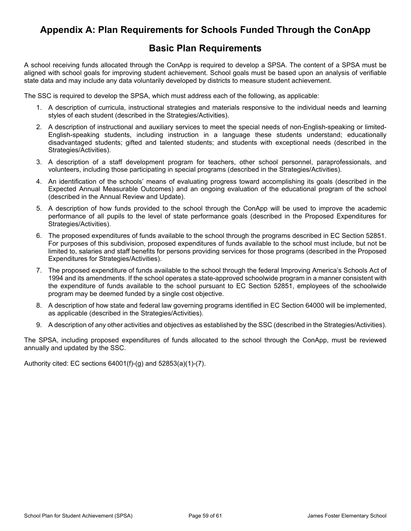## <span id="page-57-0"></span>**Appendix A: Plan Requirements for Schools Funded Through the ConApp**

### **Basic Plan Requirements**

A school receiving funds allocated through the ConApp is required to develop a SPSA. The content of a SPSA must be aligned with school goals for improving student achievement. School goals must be based upon an analysis of verifiable state data and may include any data voluntarily developed by districts to measure student achievement.

The SSC is required to develop the SPSA, which must address each of the following, as applicable:

- 1. A description of curricula, instructional strategies and materials responsive to the individual needs and learning styles of each student (described in the Strategies/Activities).
- 2. A description of instructional and auxiliary services to meet the special needs of non-English-speaking or limited-English-speaking students, including instruction in a language these students understand; educationally disadvantaged students; gifted and talented students; and students with exceptional needs (described in the Strategies/Activities).
- 3. A description of a staff development program for teachers, other school personnel, paraprofessionals, and volunteers, including those participating in special programs (described in the Strategies/Activities).
- 4. An identification of the schools' means of evaluating progress toward accomplishing its goals (described in the Expected Annual Measurable Outcomes) and an ongoing evaluation of the educational program of the school (described in the Annual Review and Update).
- 5. A description of how funds provided to the school through the ConApp will be used to improve the academic performance of all pupils to the level of state performance goals (described in the Proposed Expenditures for Strategies/Activities).
- 6. The proposed expenditures of funds available to the school through the programs described in EC Section 52851. For purposes of this subdivision, proposed expenditures of funds available to the school must include, but not be limited to, salaries and staff benefits for persons providing services for those programs (described in the Proposed Expenditures for Strategies/Activities).
- 7. The proposed expenditure of funds available to the school through the federal Improving America's Schools Act of 1994 and its amendments. If the school operates a state-approved schoolwide program in a manner consistent with the expenditure of funds available to the school pursuant to EC Section 52851, employees of the schoolwide program may be deemed funded by a single cost objective.
- 8. A description of how state and federal law governing programs identified in EC Section 64000 will be implemented, as applicable (described in the Strategies/Activities).
- 9. A description of any other activities and objectives as established by the SSC (described in the Strategies/Activities).

The SPSA, including proposed expenditures of funds allocated to the school through the ConApp, must be reviewed annually and updated by the SSC.

Authority cited: EC sections 64001(f)-(g) and 52853(a)(1)-(7).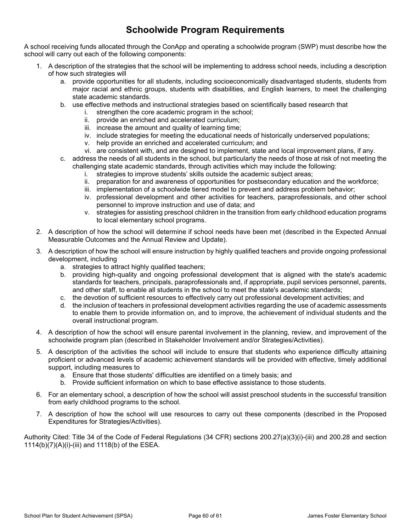## **Schoolwide Program Requirements**

A school receiving funds allocated through the ConApp and operating a schoolwide program (SWP) must describe how the school will carry out each of the following components:

- 1. A description of the strategies that the school will be implementing to address school needs, including a description of how such strategies will
	- a. provide opportunities for all students, including socioeconomically disadvantaged students, students from major racial and ethnic groups, students with disabilities, and English learners, to meet the challenging state academic standards.
	- b. use effective methods and instructional strategies based on scientifically based research that
		- i. strengthen the core academic program in the school;
		- ii. provide an enriched and accelerated curriculum;
		- iii. increase the amount and quality of learning time;
		- iv. include strategies for meeting the educational needs of historically underserved populations;
		- v. help provide an enriched and accelerated curriculum; and
		- vi. are consistent with, and are designed to implement, state and local improvement plans, if any.
	- c. address the needs of all students in the school, but particularly the needs of those at risk of not meeting the challenging state academic standards, through activities which may include the following:
		- i. strategies to improve students' skills outside the academic subject areas;
		- ii. preparation for and awareness of opportunities for postsecondary education and the workforce;
		- iii. implementation of a schoolwide tiered model to prevent and address problem behavior;
		- iv. professional development and other activities for teachers, paraprofessionals, and other school personnel to improve instruction and use of data; and
		- v. strategies for assisting preschool children in the transition from early childhood education programs to local elementary school programs.
- 2. A description of how the school will determine if school needs have been met (described in the Expected Annual Measurable Outcomes and the Annual Review and Update).
- 3. A description of how the school will ensure instruction by highly qualified teachers and provide ongoing professional development, including
	- a. strategies to attract highly qualified teachers;
	- b. providing high-quality and ongoing professional development that is aligned with the state's academic standards for teachers, principals, paraprofessionals and, if appropriate, pupil services personnel, parents, and other staff, to enable all students in the school to meet the state's academic standards;
	- c. the devotion of sufficient resources to effectively carry out professional development activities; and
	- d. the inclusion of teachers in professional development activities regarding the use of academic assessments to enable them to provide information on, and to improve, the achievement of individual students and the overall instructional program.
- 4. A description of how the school will ensure parental involvement in the planning, review, and improvement of the schoolwide program plan (described in Stakeholder Involvement and/or Strategies/Activities).
- 5. A description of the activities the school will include to ensure that students who experience difficulty attaining proficient or advanced levels of academic achievement standards will be provided with effective, timely additional support, including measures to
	- a. Ensure that those students' difficulties are identified on a timely basis; and
	- b. Provide sufficient information on which to base effective assistance to those students.
- 6. For an elementary school, a description of how the school will assist preschool students in the successful transition from early childhood programs to the school.
- 7. A description of how the school will use resources to carry out these components (described in the Proposed Expenditures for Strategies/Activities).

Authority Cited: Title 34 of the Code of Federal Regulations (34 CFR) sections 200.27(a)(3)(i)-(iii) and 200.28 and section 1114(b)(7)(A)(i)-(iii) and 1118(b) of the ESEA.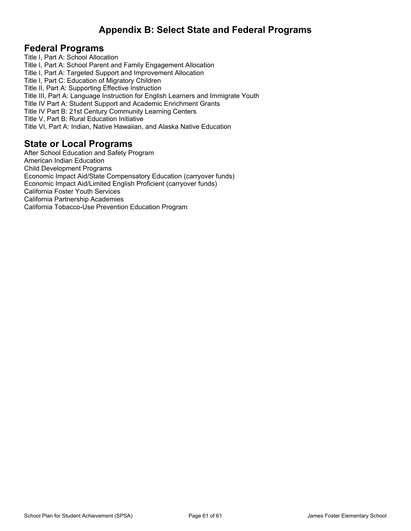## <span id="page-59-0"></span>**Appendix B: Select State and Federal Programs**

### **Federal Programs**

Title I, Part A: School Allocation Title I, Part A: School Parent and Family Engagement Allocation Title I, Part A: Targeted Support and Improvement Allocation Title I, Part C: Education of Migratory Children Title II, Part A: Supporting Effective Instruction Title III, Part A: Language Instruction for English Learners and Immigrate Youth Title IV Part A: Student Support and Academic Enrichment Grants Title IV Part B: 21st Century Community Learning Centers Title V, Part B: Rural Education Initiative Title VI, Part A: Indian, Native Hawaiian, and Alaska Native Education

### **State or Local Programs**

After School Education and Safety Program American Indian Education Child Development Programs Economic Impact Aid/State Compensatory Education (carryover funds) Economic Impact Aid/Limited English Proficient (carryover funds) California Foster Youth Services California Partnership Academies California Tobacco-Use Prevention Education Program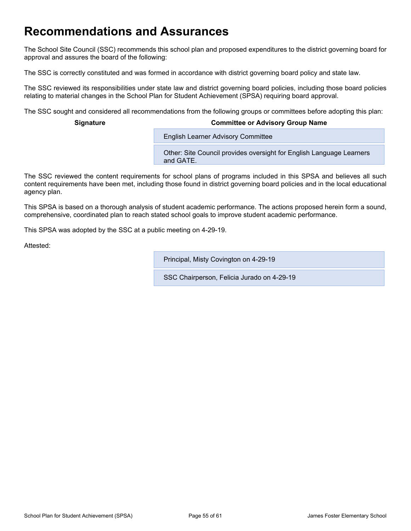## <span id="page-60-0"></span>**Recommendations and Assurances**

The School Site Council (SSC) recommends this school plan and proposed expenditures to the district governing board for approval and assures the board of the following:

The SSC is correctly constituted and was formed in accordance with district governing board policy and state law.

The SSC reviewed its responsibilities under state law and district governing board policies, including those board policies relating to material changes in the School Plan for Student Achievement (SPSA) requiring board approval.

The SSC sought and considered all recommendations from the following groups or committees before adopting this plan:

#### **Signature Committee or Advisory Group Name**

**English Learner Advisory Committee** 

Other: Site Council provides oversight for English Language Learners and GATE.

The SSC reviewed the content requirements for school plans of programs included in this SPSA and believes all such content requirements have been met, including those found in district governing board policies and in the local educational agency plan.

This SPSA is based on a thorough analysis of student academic performance. The actions proposed herein form a sound, comprehensive, coordinated plan to reach stated school goals to improve student academic performance.

This SPSA was adopted by the SSC at a public meeting on 4-29-19.

Attested:

Principal, Misty Covington on 4-29-19

SSC Chairperson, Felicia Jurado on 4-29-19